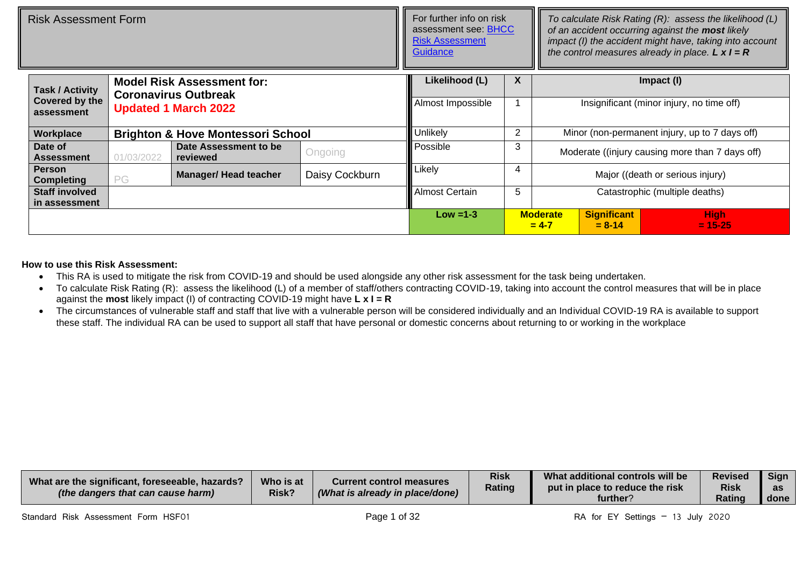| Risk Assessment Form               |                                               |                                                                  |                | For further info on risk<br>assessment see: BHCC<br><b>Risk Assessment</b><br>Guidance |   | To calculate Risk Rating (R): assess the likelihood (L)<br>of an accident occurring against the most likely<br>impact (I) the accident might have, taking into account<br>the control measures already in place. $L \times I = R$ |                                                |                                                 |  |  |  |
|------------------------------------|-----------------------------------------------|------------------------------------------------------------------|----------------|----------------------------------------------------------------------------------------|---|-----------------------------------------------------------------------------------------------------------------------------------------------------------------------------------------------------------------------------------|------------------------------------------------|-------------------------------------------------|--|--|--|
| <b>Task / Activity</b>             |                                               | <b>Model Risk Assessment for:</b><br><b>Coronavirus Outbreak</b> |                | Likelihood (L)<br>Almost Impossible                                                    | X |                                                                                                                                                                                                                                   |                                                | Impact (I)                                      |  |  |  |
| assessment                         | Covered by the<br><b>Updated 1 March 2022</b> |                                                                  |                |                                                                                        |   |                                                                                                                                                                                                                                   |                                                | Insignificant (minor injury, no time off)       |  |  |  |
| Workplace                          |                                               | <b>Brighton &amp; Hove Montessori School</b>                     |                | Unlikely                                                                               | 2 |                                                                                                                                                                                                                                   | Minor (non-permanent injury, up to 7 days off) |                                                 |  |  |  |
| Date of<br><b>Assessment</b>       | 01/03/2022                                    | Date Assessment to be<br>reviewed                                | Ongoing        | Possible                                                                               | 3 |                                                                                                                                                                                                                                   |                                                | Moderate ((injury causing more than 7 days off) |  |  |  |
| <b>Person</b><br><b>Completing</b> | PG                                            | <b>Manager/ Head teacher</b>                                     | Daisy Cockburn | Likely                                                                                 | 4 |                                                                                                                                                                                                                                   |                                                | Major ((death or serious injury)                |  |  |  |
| <b>Staff involved</b>              |                                               |                                                                  |                |                                                                                        | 5 |                                                                                                                                                                                                                                   |                                                | Catastrophic (multiple deaths)                  |  |  |  |
| in assessment                      |                                               |                                                                  |                |                                                                                        |   |                                                                                                                                                                                                                                   | <b>Significant</b>                             |                                                 |  |  |  |
|                                    |                                               |                                                                  |                |                                                                                        |   | <b>Moderate</b><br>$= 4 - 7$                                                                                                                                                                                                      | <b>High</b><br>$= 15 - 25$                     |                                                 |  |  |  |

## **How to use this Risk Assessment:**

- This RA is used to mitigate the risk from COVID-19 and should be used alongside any other risk assessment for the task being undertaken.
- To calculate Risk Rating (R): assess the likelihood (L) of a member of staff/others contracting COVID-19, taking into account the control measures that will be in place against the **most** likely impact (I) of contracting COVID-19 might have **L x I = R**
- The circumstances of vulnerable staff and staff that live with a vulnerable person will be considered individually and an Individual COVID-19 RA is available to support these staff. The individual RA can be used to support all staff that have personal or domestic concerns about returning to or working in the workplace

| Who is at<br>What are the significant, foreseeable, hazards?<br>Current control measures<br><b>Risk?</b><br>(What is already in place/done)<br>(the dangers that can cause harm) | <b>Risk</b><br>Rating | What additional controls will be<br>$\blacksquare$ put in place to reduce the risk $\blacksquare$<br>further? | <b>Revised</b><br><b>Risk</b><br>Ratino | <b>Sign</b><br>$\sim$<br>dЭ<br>done |
|----------------------------------------------------------------------------------------------------------------------------------------------------------------------------------|-----------------------|---------------------------------------------------------------------------------------------------------------|-----------------------------------------|-------------------------------------|
|----------------------------------------------------------------------------------------------------------------------------------------------------------------------------------|-----------------------|---------------------------------------------------------------------------------------------------------------|-----------------------------------------|-------------------------------------|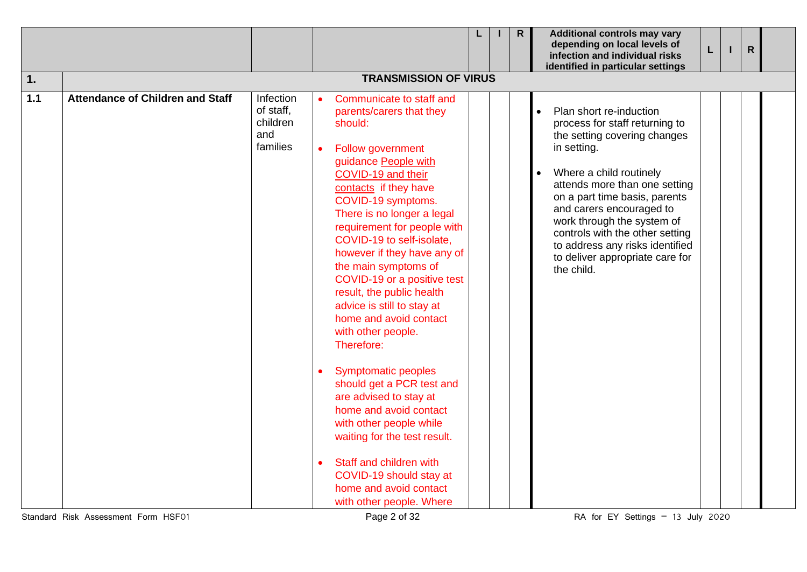|       |                                         |                                                       |  |                                                                                                                                                                                                                                                                                                                                                                                                                                                                                                                                                                                                                                                                                                                                                                                         |  |  | $\mathsf{R}$ | <b>Additional controls may vary</b><br>depending on local levels of<br>infection and individual risks<br>identified in particular settings                                                                                                                                                                                                                                             | L |  | $\mathsf{R}$ |  |
|-------|-----------------------------------------|-------------------------------------------------------|--|-----------------------------------------------------------------------------------------------------------------------------------------------------------------------------------------------------------------------------------------------------------------------------------------------------------------------------------------------------------------------------------------------------------------------------------------------------------------------------------------------------------------------------------------------------------------------------------------------------------------------------------------------------------------------------------------------------------------------------------------------------------------------------------------|--|--|--------------|----------------------------------------------------------------------------------------------------------------------------------------------------------------------------------------------------------------------------------------------------------------------------------------------------------------------------------------------------------------------------------------|---|--|--------------|--|
| 1.    | <b>TRANSMISSION OF VIRUS</b>            |                                                       |  |                                                                                                                                                                                                                                                                                                                                                                                                                                                                                                                                                                                                                                                                                                                                                                                         |  |  |              |                                                                                                                                                                                                                                                                                                                                                                                        |   |  |              |  |
| $1.1$ | <b>Attendance of Children and Staff</b> | Infection<br>of staff,<br>children<br>and<br>families |  | Communicate to staff and<br>parents/carers that they<br>should:<br><b>Follow government</b><br>guidance People with<br>COVID-19 and their<br>contacts if they have<br>COVID-19 symptoms.<br>There is no longer a legal<br>requirement for people with<br>COVID-19 to self-isolate,<br>however if they have any of<br>the main symptoms of<br>COVID-19 or a positive test<br>result, the public health<br>advice is still to stay at<br>home and avoid contact<br>with other people.<br>Therefore:<br><b>Symptomatic peoples</b><br>should get a PCR test and<br>are advised to stay at<br>home and avoid contact<br>with other people while<br>waiting for the test result.<br>Staff and children with<br>COVID-19 should stay at<br>home and avoid contact<br>with other people. Where |  |  |              | Plan short re-induction<br>process for staff returning to<br>the setting covering changes<br>in setting.<br>Where a child routinely<br>attends more than one setting<br>on a part time basis, parents<br>and carers encouraged to<br>work through the system of<br>controls with the other setting<br>to address any risks identified<br>to deliver appropriate care for<br>the child. |   |  |              |  |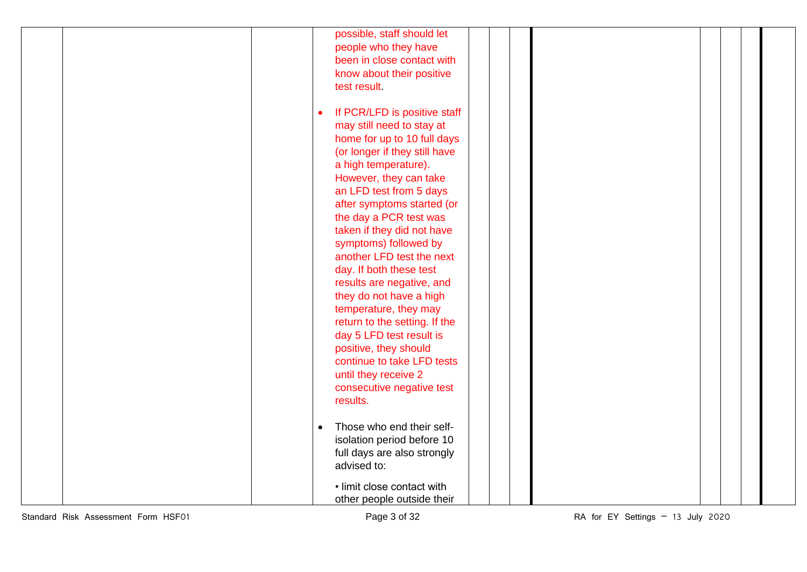|  | possible, staff should let             |  |
|--|----------------------------------------|--|
|  | people who they have                   |  |
|  | been in close contact with             |  |
|  | know about their positive              |  |
|  | test result                            |  |
|  |                                        |  |
|  | If PCR/LFD is positive staff           |  |
|  | may still need to stay at              |  |
|  | home for up to 10 full days            |  |
|  |                                        |  |
|  | (or longer if they still have          |  |
|  | a high temperature).                   |  |
|  | However, they can take                 |  |
|  | an LFD test from 5 days                |  |
|  | after symptoms started (or             |  |
|  | the day a PCR test was                 |  |
|  | taken if they did not have             |  |
|  | symptoms) followed by                  |  |
|  | another LFD test the next              |  |
|  | day. If both these test                |  |
|  | results are negative, and              |  |
|  | they do not have a high                |  |
|  | temperature, they may                  |  |
|  | return to the setting. If the          |  |
|  | day 5 LFD test result is               |  |
|  | positive, they should                  |  |
|  | continue to take LFD tests             |  |
|  | until they receive 2                   |  |
|  | consecutive negative test              |  |
|  | results.                               |  |
|  |                                        |  |
|  | Those who end their self-<br>$\bullet$ |  |
|  | isolation period before 10             |  |
|  | full days are also strongly            |  |
|  | advised to:                            |  |
|  |                                        |  |
|  | • limit close contact with             |  |
|  | other people outside their             |  |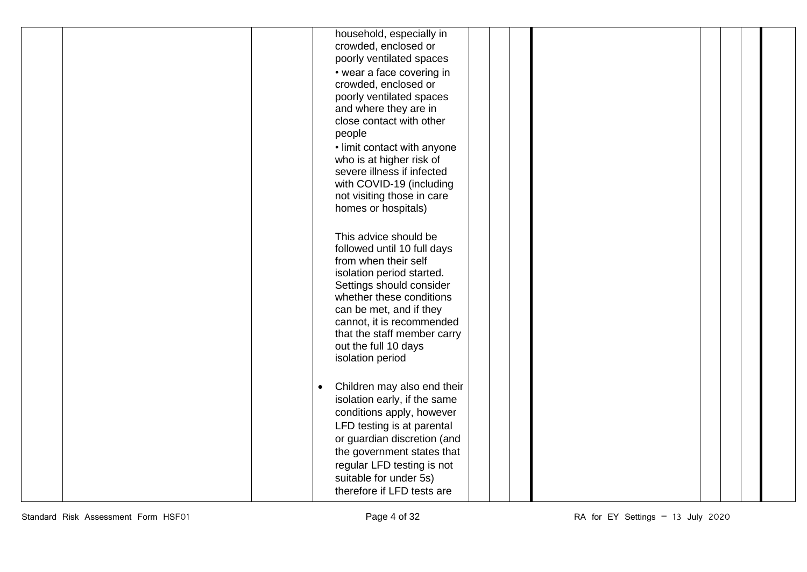|  | household, especially in<br>crowded, enclosed or<br>poorly ventilated spaces<br>• wear a face covering in<br>crowded, enclosed or<br>poorly ventilated spaces<br>and where they are in<br>close contact with other<br>people<br>• limit contact with anyone<br>who is at higher risk of<br>severe illness if infected<br>with COVID-19 (including<br>not visiting those in care<br>homes or hospitals) |
|--|--------------------------------------------------------------------------------------------------------------------------------------------------------------------------------------------------------------------------------------------------------------------------------------------------------------------------------------------------------------------------------------------------------|
|  | This advice should be<br>followed until 10 full days<br>from when their self<br>isolation period started.<br>Settings should consider<br>whether these conditions<br>can be met, and if they<br>cannot, it is recommended<br>that the staff member carry<br>out the full 10 days<br>isolation period                                                                                                   |
|  | Children may also end their<br>$\bullet$<br>isolation early, if the same<br>conditions apply, however<br>LFD testing is at parental<br>or guardian discretion (and<br>the government states that<br>regular LFD testing is not<br>suitable for under 5s)<br>therefore if LFD tests are                                                                                                                 |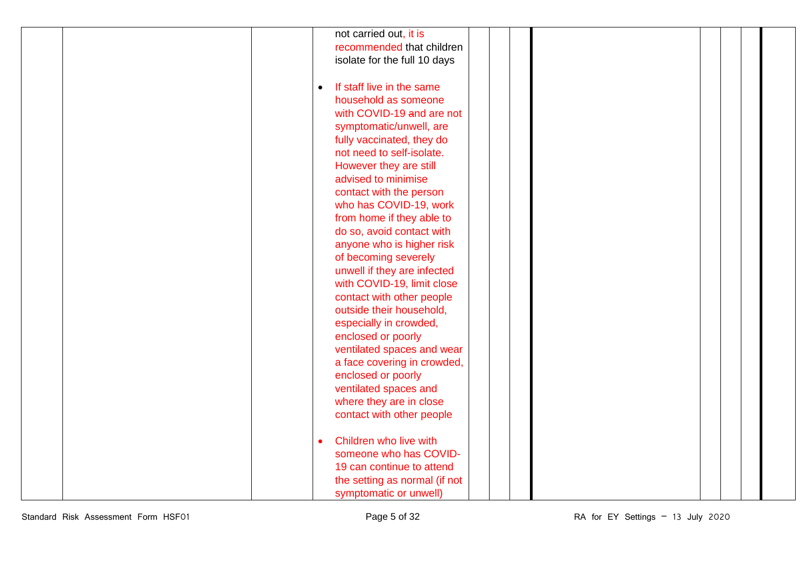|  |           | not carried out, it is        |  |  |  |  |
|--|-----------|-------------------------------|--|--|--|--|
|  |           | recommended that children     |  |  |  |  |
|  |           | isolate for the full 10 days  |  |  |  |  |
|  |           |                               |  |  |  |  |
|  |           |                               |  |  |  |  |
|  | $\bullet$ | If staff live in the same     |  |  |  |  |
|  |           | household as someone          |  |  |  |  |
|  |           | with COVID-19 and are not     |  |  |  |  |
|  |           | symptomatic/unwell, are       |  |  |  |  |
|  |           | fully vaccinated, they do     |  |  |  |  |
|  |           | not need to self-isolate.     |  |  |  |  |
|  |           | However they are still        |  |  |  |  |
|  |           | advised to minimise           |  |  |  |  |
|  |           | contact with the person       |  |  |  |  |
|  |           | who has COVID-19, work        |  |  |  |  |
|  |           | from home if they able to     |  |  |  |  |
|  |           |                               |  |  |  |  |
|  |           | do so, avoid contact with     |  |  |  |  |
|  |           | anyone who is higher risk     |  |  |  |  |
|  |           | of becoming severely          |  |  |  |  |
|  |           | unwell if they are infected   |  |  |  |  |
|  |           | with COVID-19, limit close    |  |  |  |  |
|  |           | contact with other people     |  |  |  |  |
|  |           | outside their household,      |  |  |  |  |
|  |           | especially in crowded,        |  |  |  |  |
|  |           | enclosed or poorly            |  |  |  |  |
|  |           | ventilated spaces and wear    |  |  |  |  |
|  |           | a face covering in crowded,   |  |  |  |  |
|  |           | enclosed or poorly            |  |  |  |  |
|  |           | ventilated spaces and         |  |  |  |  |
|  |           | where they are in close       |  |  |  |  |
|  |           | contact with other people     |  |  |  |  |
|  |           |                               |  |  |  |  |
|  |           | Children who live with        |  |  |  |  |
|  |           | someone who has COVID-        |  |  |  |  |
|  |           | 19 can continue to attend     |  |  |  |  |
|  |           |                               |  |  |  |  |
|  |           | the setting as normal (if not |  |  |  |  |
|  |           | symptomatic or unwell)        |  |  |  |  |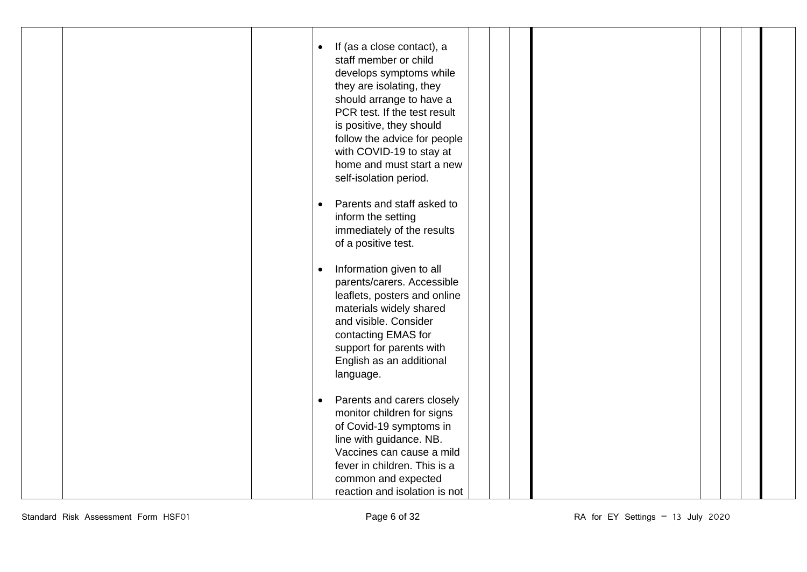| $\bullet$ | If (as a close contact), a<br>staff member or child<br>develops symptoms while<br>they are isolating, they<br>should arrange to have a<br>PCR test. If the test result<br>is positive, they should<br>follow the advice for people<br>with COVID-19 to stay at<br>home and must start a new<br>self-isolation period. |  |  |  |
|-----------|-----------------------------------------------------------------------------------------------------------------------------------------------------------------------------------------------------------------------------------------------------------------------------------------------------------------------|--|--|--|
|           | Parents and staff asked to<br>inform the setting<br>immediately of the results<br>of a positive test.                                                                                                                                                                                                                 |  |  |  |
| $\bullet$ | Information given to all<br>parents/carers. Accessible<br>leaflets, posters and online<br>materials widely shared<br>and visible. Consider<br>contacting EMAS for<br>support for parents with<br>English as an additional<br>language.                                                                                |  |  |  |
| $\bullet$ | Parents and carers closely<br>monitor children for signs<br>of Covid-19 symptoms in<br>line with guidance. NB.<br>Vaccines can cause a mild<br>fever in children. This is a<br>common and expected<br>reaction and isolation is not                                                                                   |  |  |  |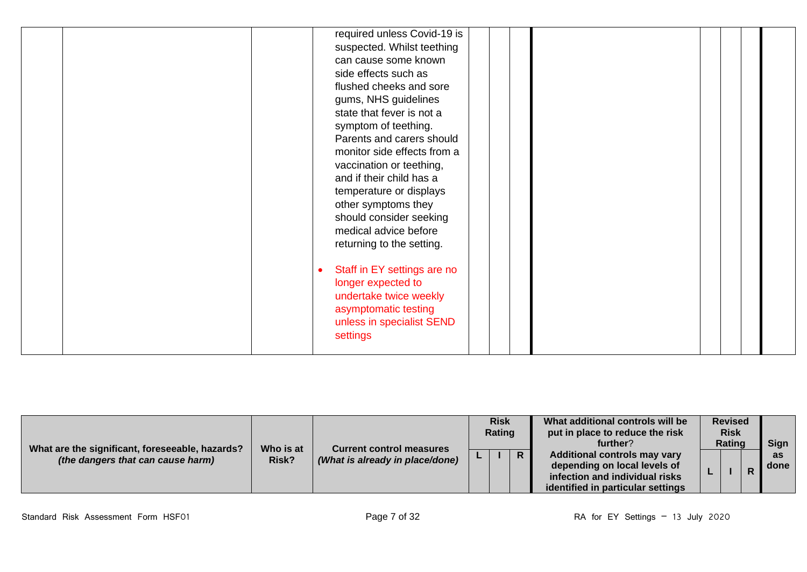| What are the significant, foreseeable, hazards? | Who is at | <b>Current control measures</b> | <b>Risk</b><br>Rating |  |    | What additional controls will be<br>put in place to reduce the risk<br>further?                                                            |  | <b>Revised</b><br><b>Risk</b><br><b>Rating</b> |   | <b>Sign</b>         |
|-------------------------------------------------|-----------|---------------------------------|-----------------------|--|----|--------------------------------------------------------------------------------------------------------------------------------------------|--|------------------------------------------------|---|---------------------|
| (the dangers that can cause harm)               | Risk?     | (What is already in place/done) |                       |  | R. | <b>Additional controls may vary</b><br>depending on local levels of<br>infection and individual risks<br>identified in particular settings |  |                                                | D | <b>as</b><br>l done |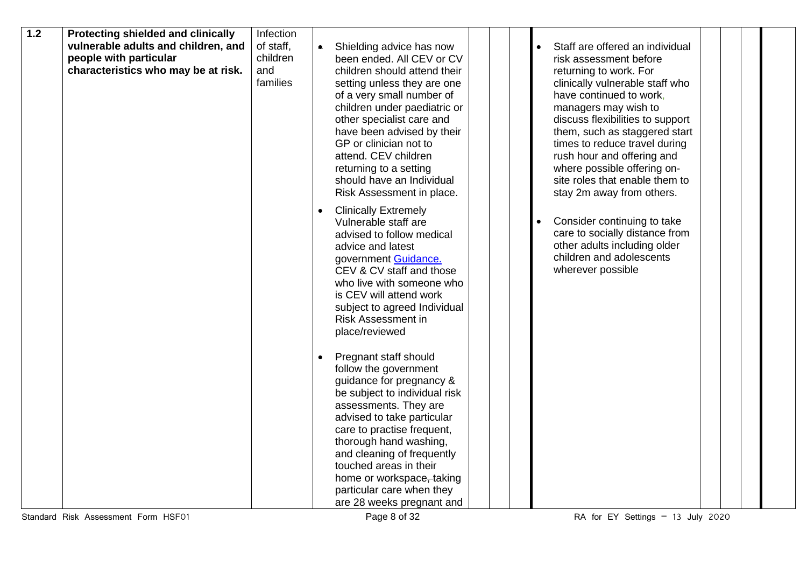| 1.2 | Protecting shielded and clinically  | Infection |                                                                                                 |  |
|-----|-------------------------------------|-----------|-------------------------------------------------------------------------------------------------|--|
|     | vulnerable adults and children, and | of staff, | Shielding advice has now<br>Staff are offered an individual                                     |  |
|     | people with particular              | children  | been ended. All CEV or CV<br>risk assessment before                                             |  |
|     | characteristics who may be at risk. | and       | children should attend their<br>returning to work. For                                          |  |
|     |                                     | families  | clinically vulnerable staff who<br>setting unless they are one                                  |  |
|     |                                     |           | of a very small number of<br>have continued to work,                                            |  |
|     |                                     |           | children under paediatric or<br>managers may wish to                                            |  |
|     |                                     |           | other specialist care and<br>discuss flexibilities to support                                   |  |
|     |                                     |           | have been advised by their<br>them, such as staggered start                                     |  |
|     |                                     |           | GP or clinician not to<br>times to reduce travel during                                         |  |
|     |                                     |           | attend. CEV children<br>rush hour and offering and                                              |  |
|     |                                     |           | where possible offering on-<br>returning to a setting                                           |  |
|     |                                     |           | should have an Individual<br>site roles that enable them to                                     |  |
|     |                                     |           | Risk Assessment in place.<br>stay 2m away from others.                                          |  |
|     |                                     |           |                                                                                                 |  |
|     |                                     |           | <b>Clinically Extremely</b><br>$\bullet$<br>Consider continuing to take<br>Vulnerable staff are |  |
|     |                                     |           | care to socially distance from<br>advised to follow medical                                     |  |
|     |                                     |           | other adults including older<br>advice and latest                                               |  |
|     |                                     |           | children and adolescents<br>government Guidance.                                                |  |
|     |                                     |           | CEV & CV staff and those<br>wherever possible                                                   |  |
|     |                                     |           | who live with someone who                                                                       |  |
|     |                                     |           | is CEV will attend work                                                                         |  |
|     |                                     |           | subject to agreed Individual                                                                    |  |
|     |                                     |           | <b>Risk Assessment in</b>                                                                       |  |
|     |                                     |           | place/reviewed                                                                                  |  |
|     |                                     |           |                                                                                                 |  |
|     |                                     |           | Pregnant staff should                                                                           |  |
|     |                                     |           | follow the government                                                                           |  |
|     |                                     |           | guidance for pregnancy &                                                                        |  |
|     |                                     |           | be subject to individual risk                                                                   |  |
|     |                                     |           | assessments. They are                                                                           |  |
|     |                                     |           | advised to take particular                                                                      |  |
|     |                                     |           | care to practise frequent,                                                                      |  |
|     |                                     |           | thorough hand washing,                                                                          |  |
|     |                                     |           | and cleaning of frequently                                                                      |  |
|     |                                     |           | touched areas in their                                                                          |  |
|     |                                     |           | home or workspace, taking                                                                       |  |
|     |                                     |           | particular care when they                                                                       |  |
|     |                                     |           | are 28 weeks pregnant and                                                                       |  |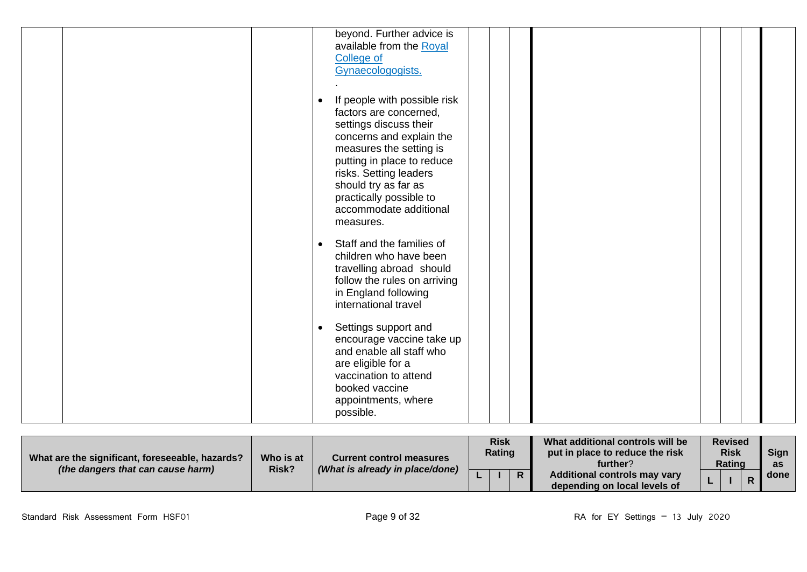|  |           | beyond. Further advice is<br>available from the Royal<br><b>College of</b><br>Gynaecologogists.                                                                                                                                                                                           |  |  |  |
|--|-----------|-------------------------------------------------------------------------------------------------------------------------------------------------------------------------------------------------------------------------------------------------------------------------------------------|--|--|--|
|  |           | If people with possible risk<br>factors are concerned,<br>settings discuss their<br>concerns and explain the<br>measures the setting is<br>putting in place to reduce<br>risks. Setting leaders<br>should try as far as<br>practically possible to<br>accommodate additional<br>measures. |  |  |  |
|  | $\bullet$ | Staff and the families of<br>children who have been<br>travelling abroad should<br>follow the rules on arriving<br>in England following<br>international travel                                                                                                                           |  |  |  |
|  |           | Settings support and<br>encourage vaccine take up<br>and enable all staff who<br>are eligible for a<br>vaccination to attend<br>booked vaccine<br>appointments, where<br>possible.                                                                                                        |  |  |  |

| What are the significant, foreseeable, hazards?<br>(the dangers that can cause harm) | Who is at | <b>Current control measures</b><br>(What is already in place/done) | <b>Risk</b><br>Rating | What additional controls will be<br>put in place to reduce the risk<br>further? | <b>Revised</b><br><b>Risk</b><br><b>Rating</b> |  |  | <b>Sign</b><br>as |
|--------------------------------------------------------------------------------------|-----------|--------------------------------------------------------------------|-----------------------|---------------------------------------------------------------------------------|------------------------------------------------|--|--|-------------------|
|                                                                                      | Risk?     |                                                                    |                       | <b>Additional controls may vary</b><br>depending on local levels of             |                                                |  |  | l done i          |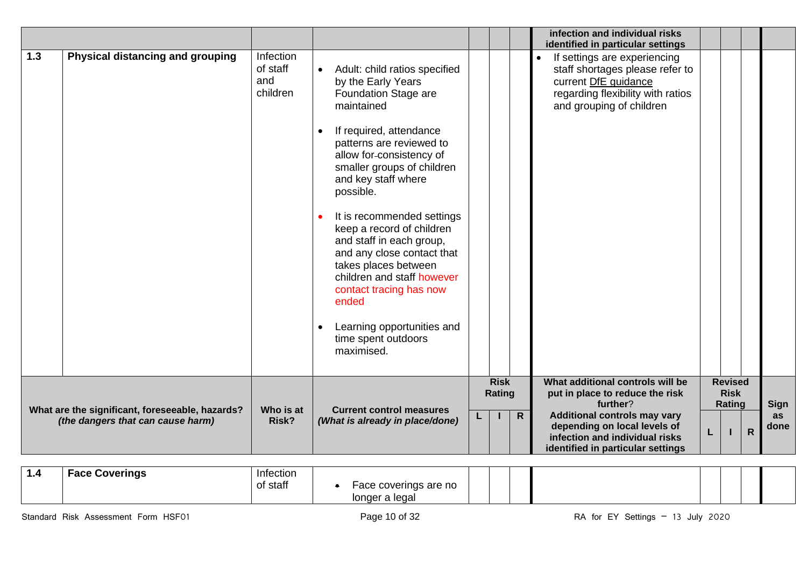|     |                                                 |                                          |           |                                                                                                                                                                                                                                                                                                                                                                                                                                                                                                                                  |                       |                | infection and individual risks<br>identified in particular settings                                                                                                   |   |                                         |              |                   |
|-----|-------------------------------------------------|------------------------------------------|-----------|----------------------------------------------------------------------------------------------------------------------------------------------------------------------------------------------------------------------------------------------------------------------------------------------------------------------------------------------------------------------------------------------------------------------------------------------------------------------------------------------------------------------------------|-----------------------|----------------|-----------------------------------------------------------------------------------------------------------------------------------------------------------------------|---|-----------------------------------------|--------------|-------------------|
| 1.3 | Physical distancing and grouping                | Infection<br>of staff<br>and<br>children | $\bullet$ | Adult: child ratios specified<br>by the Early Years<br>Foundation Stage are<br>maintained<br>If required, attendance<br>patterns are reviewed to<br>allow for-consistency of<br>smaller groups of children<br>and key staff where<br>possible.<br>It is recommended settings<br>keep a record of children<br>and staff in each group,<br>and any close contact that<br>takes places between<br>children and staff however<br>contact tracing has now<br>ended<br>Learning opportunities and<br>time spent outdoors<br>maximised. |                       |                | If settings are experiencing<br>$\bullet$<br>staff shortages please refer to<br>current DfE guidance<br>regarding flexibility with ratios<br>and grouping of children |   |                                         |              |                   |
|     | What are the significant, foreseeable, hazards? | Who is at                                |           | <b>Current control measures</b>                                                                                                                                                                                                                                                                                                                                                                                                                                                                                                  | <b>Risk</b><br>Rating | $\overline{R}$ | What additional controls will be<br>put in place to reduce the risk<br>further?<br><b>Additional controls may vary</b>                                                |   | <b>Revised</b><br><b>Risk</b><br>Rating |              | <b>Sign</b><br>as |
|     | (the dangers that can cause harm)               | Risk?                                    |           | (What is already in place/done)                                                                                                                                                                                                                                                                                                                                                                                                                                                                                                  |                       |                | depending on local levels of<br>infection and individual risks<br>identified in particular settings                                                                   | L |                                         | $\mathsf{R}$ | done              |

| . | <b>Face Coverings</b> | Infection<br>of staff | e coverings are no<br>$\sim$<br>acc." |  |  |
|---|-----------------------|-----------------------|---------------------------------------|--|--|
|   |                       |                       | longer a legal                        |  |  |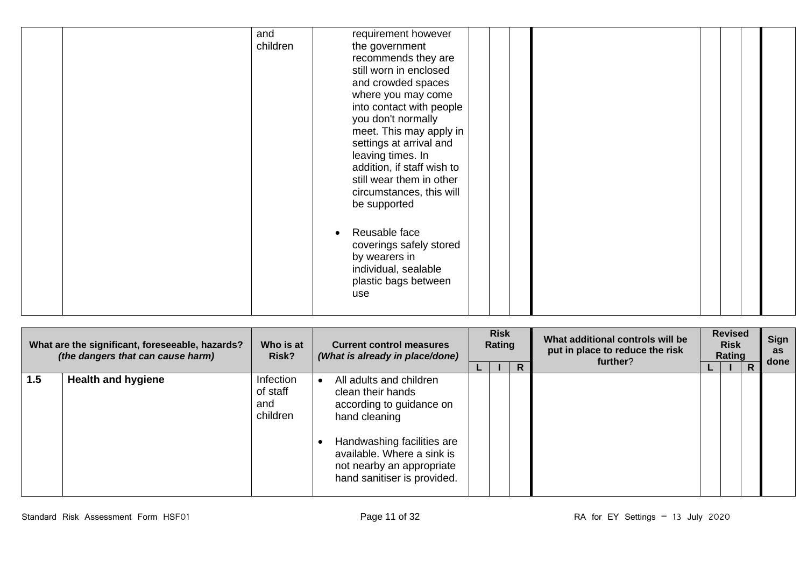| and<br>children | requirement however<br>the government<br>recommends they are<br>still worn in enclosed<br>and crowded spaces<br>where you may come<br>into contact with people<br>you don't normally<br>meet. This may apply in                                                                     |  |  |  |
|-----------------|-------------------------------------------------------------------------------------------------------------------------------------------------------------------------------------------------------------------------------------------------------------------------------------|--|--|--|
|                 | settings at arrival and<br>leaving times. In<br>addition, if staff wish to<br>still wear them in other<br>circumstances, this will<br>be supported<br>Reusable face<br>$\bullet$<br>coverings safely stored<br>by wearers in<br>individual, sealable<br>plastic bags between<br>use |  |  |  |

| What are the significant, foreseeable, hazards?<br>(the dangers that can cause harm) |                           | Who is at<br>Risk?                       |  | <b>Current control measures</b>                                                                                                                                                                                   |  |  | (What is already in place/done) |  | <b>Risk</b><br>Rating |   | What additional controls will be<br>put in place to reduce the risk<br>further? | <b>Revised</b><br><b>Risk</b><br>Rating |  | Sign<br><b>as</b><br>done |
|--------------------------------------------------------------------------------------|---------------------------|------------------------------------------|--|-------------------------------------------------------------------------------------------------------------------------------------------------------------------------------------------------------------------|--|--|---------------------------------|--|-----------------------|---|---------------------------------------------------------------------------------|-----------------------------------------|--|---------------------------|
| 1.5                                                                                  | <b>Health and hygiene</b> | Infection<br>of staff<br>and<br>children |  | All adults and children<br>clean their hands<br>according to guidance on<br>hand cleaning<br>Handwashing facilities are<br>available. Where a sink is<br>not nearby an appropriate<br>hand sanitiser is provided. |  |  | R                               |  |                       | D |                                                                                 |                                         |  |                           |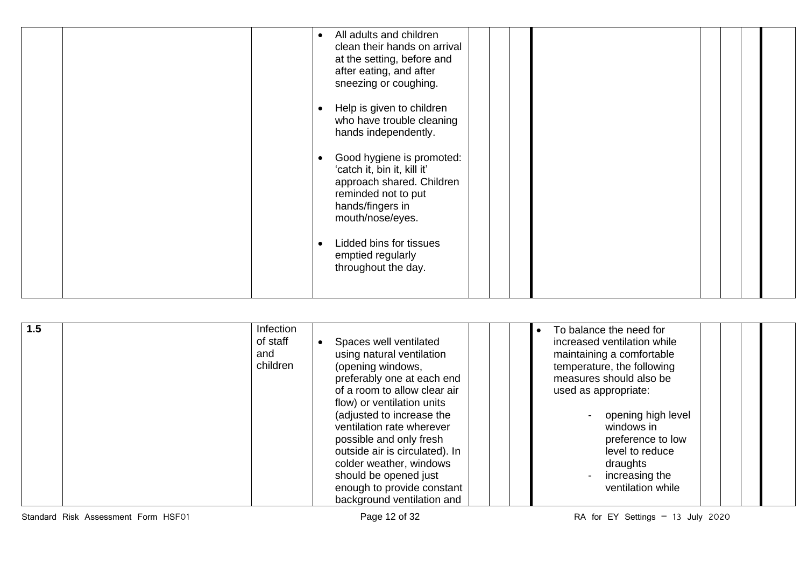| All adults and children<br>$\bullet$<br>clean their hands on arrival<br>at the setting, before and<br>after eating, and after<br>sneezing or coughing. |  |
|--------------------------------------------------------------------------------------------------------------------------------------------------------|--|
| Help is given to children<br>who have trouble cleaning<br>hands independently.                                                                         |  |
| Good hygiene is promoted:<br>'catch it, bin it, kill it'<br>approach shared. Children<br>reminded not to put<br>hands/fingers in<br>mouth/nose/eyes.   |  |
| Lidded bins for tissues<br>emptied regularly<br>throughout the day.                                                                                    |  |

| Infection<br>1.5<br>of staff<br>and<br>children | Spaces well ventilated<br>using natural ventilation<br>(opening windows,<br>preferably one at each end<br>of a room to allow clear air<br>flow) or ventilation units<br>(adjusted to increase the<br>ventilation rate wherever<br>possible and only fresh<br>outside air is circulated). In<br>colder weather, windows<br>should be opened just<br>enough to provide constant<br>background ventilation and | To balance the need for<br>increased ventilation while<br>maintaining a comfortable<br>temperature, the following<br>measures should also be<br>used as appropriate:<br>opening high level<br>windows in<br>preference to low<br>level to reduce<br>draughts<br>increasing the<br>ventilation while |
|-------------------------------------------------|-------------------------------------------------------------------------------------------------------------------------------------------------------------------------------------------------------------------------------------------------------------------------------------------------------------------------------------------------------------------------------------------------------------|-----------------------------------------------------------------------------------------------------------------------------------------------------------------------------------------------------------------------------------------------------------------------------------------------------|
|-------------------------------------------------|-------------------------------------------------------------------------------------------------------------------------------------------------------------------------------------------------------------------------------------------------------------------------------------------------------------------------------------------------------------------------------------------------------------|-----------------------------------------------------------------------------------------------------------------------------------------------------------------------------------------------------------------------------------------------------------------------------------------------------|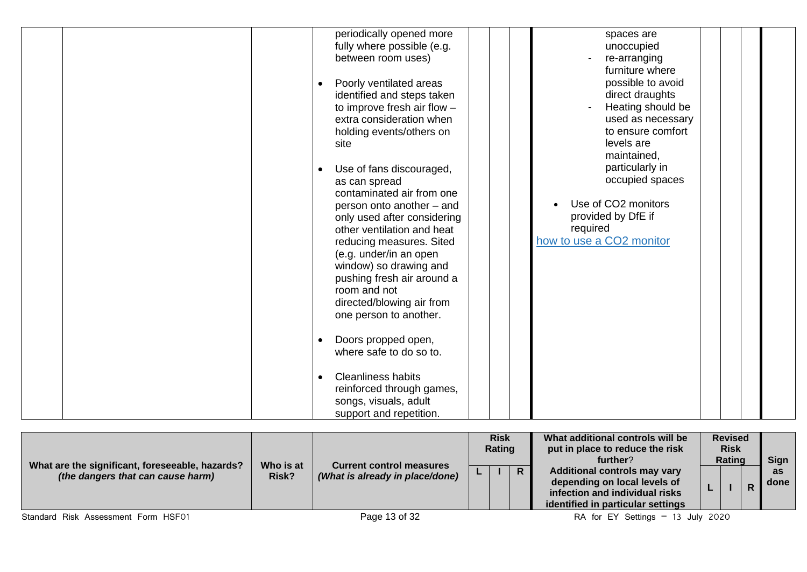|  |  | periodically opened more<br>fully where possible (e.g. | spaces are<br>unoccupied |  |
|--|--|--------------------------------------------------------|--------------------------|--|
|  |  | between room uses)                                     | re-arranging             |  |
|  |  |                                                        | furniture where          |  |
|  |  | Poorly ventilated areas                                | possible to avoid        |  |
|  |  | identified and steps taken                             | direct draughts          |  |
|  |  | to improve fresh air flow -                            | Heating should be        |  |
|  |  | extra consideration when                               | used as necessary        |  |
|  |  | holding events/others on                               | to ensure comfort        |  |
|  |  | site                                                   | levels are               |  |
|  |  |                                                        | maintained,              |  |
|  |  | Use of fans discouraged,                               | particularly in          |  |
|  |  | as can spread                                          | occupied spaces          |  |
|  |  | contaminated air from one                              |                          |  |
|  |  | person onto another - and                              | Use of CO2 monitors      |  |
|  |  | only used after considering                            | provided by DfE if       |  |
|  |  | other ventilation and heat                             | required                 |  |
|  |  | reducing measures. Sited                               | how to use a CO2 monitor |  |
|  |  | (e.g. under/in an open                                 |                          |  |
|  |  | window) so drawing and<br>pushing fresh air around a   |                          |  |
|  |  | room and not                                           |                          |  |
|  |  | directed/blowing air from                              |                          |  |
|  |  | one person to another.                                 |                          |  |
|  |  |                                                        |                          |  |
|  |  | Doors propped open,                                    |                          |  |
|  |  | where safe to do so to.                                |                          |  |
|  |  |                                                        |                          |  |
|  |  | <b>Cleanliness habits</b>                              |                          |  |
|  |  | reinforced through games,                              |                          |  |
|  |  | songs, visuals, adult                                  |                          |  |
|  |  | support and repetition.                                |                          |  |

| What are the significant, foreseeable, hazards? | Who is at | <b>Current control measures</b> |    | <b>Risk</b><br>Rating |              | What additional controls will be<br>put in place to reduce the risk<br>further?                                                            |    | <b>Revised</b><br><b>Risk</b><br>Rating | <b>Sign</b>       |
|-------------------------------------------------|-----------|---------------------------------|----|-----------------------|--------------|--------------------------------------------------------------------------------------------------------------------------------------------|----|-----------------------------------------|-------------------|
| (the dangers that can cause harm)               | Risk?     | (What is already in place/done) | ш. |                       | $\mathsf{R}$ | <b>Additional controls may vary</b><br>depending on local levels of<br>infection and individual risks<br>identified in particular settings | ь. |                                         | <b>as</b><br>done |
| Standard Risk Assessment Form HSF01             |           | Page 13 of 32                   |    |                       |              | RA for EY Settings $-13$ July 2020                                                                                                         |    |                                         |                   |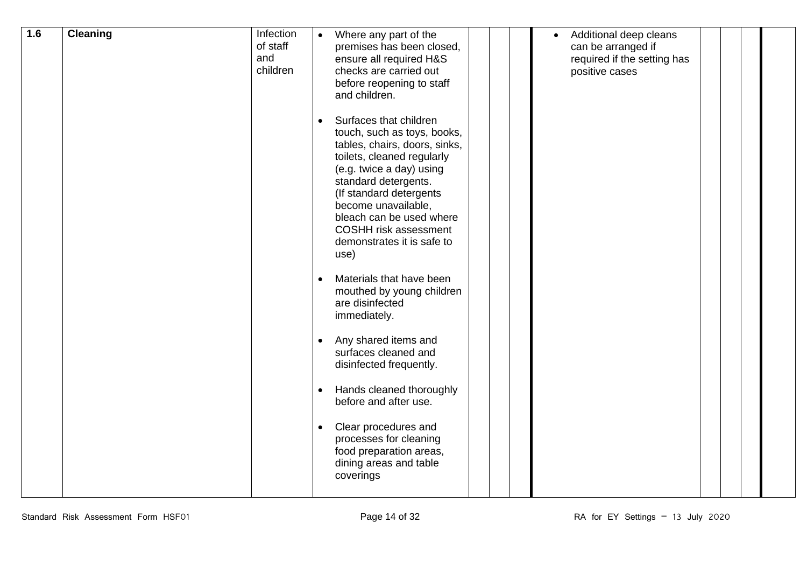| 1.6 | <b>Cleaning</b> | Infection<br>of staff<br>and<br>children | $\bullet$ | Where any part of the<br>premises has been closed,<br>ensure all required H&S<br>checks are carried out<br>before reopening to staff<br>and children.                                                                                                                                                         |  | Additional deep cleans<br>can be arranged if<br>required if the setting has<br>positive cases |  |  |
|-----|-----------------|------------------------------------------|-----------|---------------------------------------------------------------------------------------------------------------------------------------------------------------------------------------------------------------------------------------------------------------------------------------------------------------|--|-----------------------------------------------------------------------------------------------|--|--|
|     |                 |                                          | use)      | Surfaces that children<br>touch, such as toys, books,<br>tables, chairs, doors, sinks,<br>toilets, cleaned regularly<br>(e.g. twice a day) using<br>standard detergents.<br>(If standard detergents<br>become unavailable,<br>bleach can be used where<br>COSHH risk assessment<br>demonstrates it is safe to |  |                                                                                               |  |  |
|     |                 |                                          |           | Materials that have been<br>mouthed by young children<br>are disinfected<br>immediately.                                                                                                                                                                                                                      |  |                                                                                               |  |  |
|     |                 |                                          | $\bullet$ | Any shared items and<br>surfaces cleaned and<br>disinfected frequently.                                                                                                                                                                                                                                       |  |                                                                                               |  |  |
|     |                 |                                          |           | Hands cleaned thoroughly<br>before and after use.                                                                                                                                                                                                                                                             |  |                                                                                               |  |  |
|     |                 |                                          | $\bullet$ | Clear procedures and<br>processes for cleaning<br>food preparation areas,<br>dining areas and table<br>coverings                                                                                                                                                                                              |  |                                                                                               |  |  |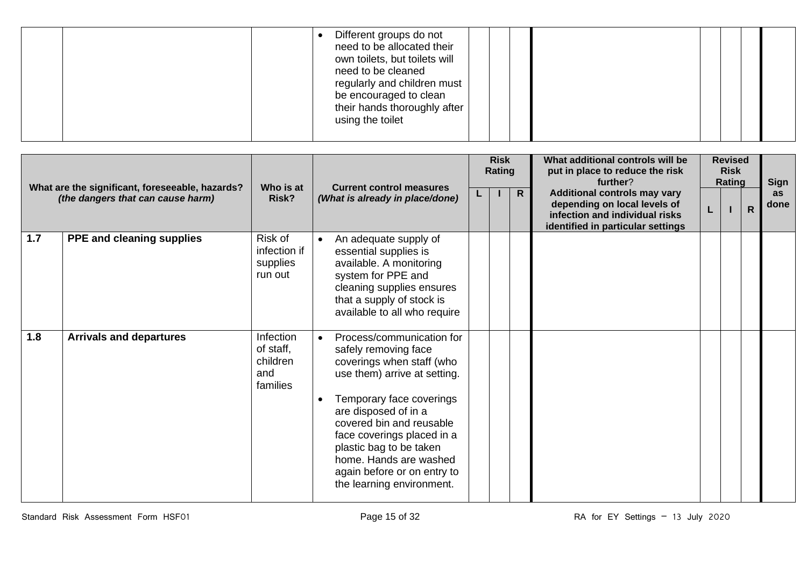| need to be allocated their<br>own toilets, but toilets will<br>need to be cleaned<br>regularly and children must<br>be encouraged to clean<br>their hands thoroughly after<br>using the toilet |
|------------------------------------------------------------------------------------------------------------------------------------------------------------------------------------------------|
|------------------------------------------------------------------------------------------------------------------------------------------------------------------------------------------------|

|                                   | What are the significant, foreseeable, hazards? |                                                       | <b>Current control measures</b>                                                                                                                                                                                             | <b>Risk</b><br>Rating |                | What additional controls will be<br>put in place to reduce the risk<br>further?                                                            |   | <b>Revised</b><br><b>Risk</b><br>Rating |                | <b>Sign</b> |
|-----------------------------------|-------------------------------------------------|-------------------------------------------------------|-----------------------------------------------------------------------------------------------------------------------------------------------------------------------------------------------------------------------------|-----------------------|----------------|--------------------------------------------------------------------------------------------------------------------------------------------|---|-----------------------------------------|----------------|-------------|
| (the dangers that can cause harm) |                                                 | Who is at<br>Risk?<br>(What is already in place/done) |                                                                                                                                                                                                                             |                       | $\overline{R}$ | <b>Additional controls may vary</b><br>depending on local levels of<br>infection and individual risks<br>identified in particular settings | L |                                         | $\overline{R}$ | as<br>done  |
| 1.7                               | PPE and cleaning supplies                       | Risk of<br>infection if<br>supplies<br>run out        | An adequate supply of<br>essential supplies is<br>available. A monitoring<br>system for PPE and<br>cleaning supplies ensures<br>that a supply of stock is<br>available to all who require                                   |                       |                |                                                                                                                                            |   |                                         |                |             |
| 1.8                               | <b>Arrivals and departures</b>                  | Infection<br>of staff,<br>children<br>and<br>families | Process/communication for<br>safely removing face<br>coverings when staff (who<br>use them) arrive at setting.                                                                                                              |                       |                |                                                                                                                                            |   |                                         |                |             |
|                                   |                                                 |                                                       | Temporary face coverings<br>are disposed of in a<br>covered bin and reusable<br>face coverings placed in a<br>plastic bag to be taken<br>home. Hands are washed<br>again before or on entry to<br>the learning environment. |                       |                |                                                                                                                                            |   |                                         |                |             |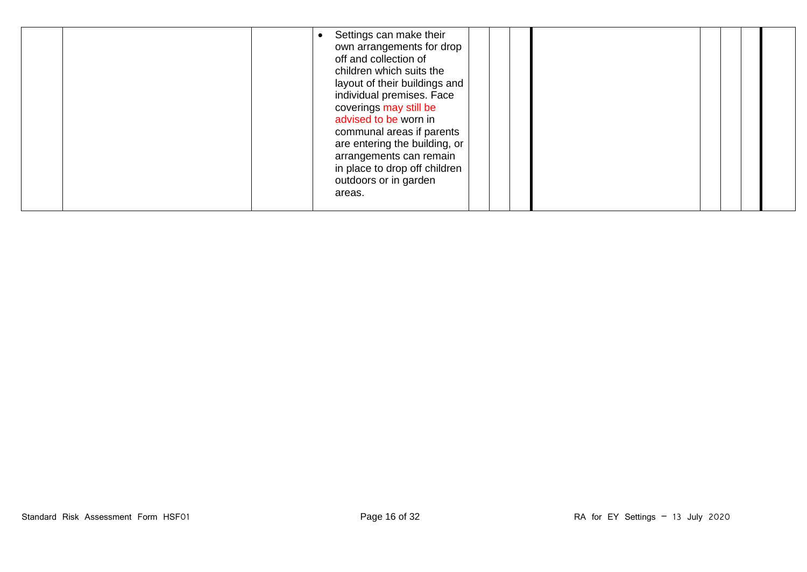|  | Settings can make their<br>own arrangements for drop<br>off and collection of<br>children which suits the<br>layout of their buildings and<br>individual premises. Face<br>coverings may still be<br>advised to be worn in<br>communal areas if parents<br>are entering the building, or<br>arrangements can remain<br>in place to drop off children<br>outdoors or in garden<br>areas. |  |
|--|-----------------------------------------------------------------------------------------------------------------------------------------------------------------------------------------------------------------------------------------------------------------------------------------------------------------------------------------------------------------------------------------|--|
|--|-----------------------------------------------------------------------------------------------------------------------------------------------------------------------------------------------------------------------------------------------------------------------------------------------------------------------------------------------------------------------------------------|--|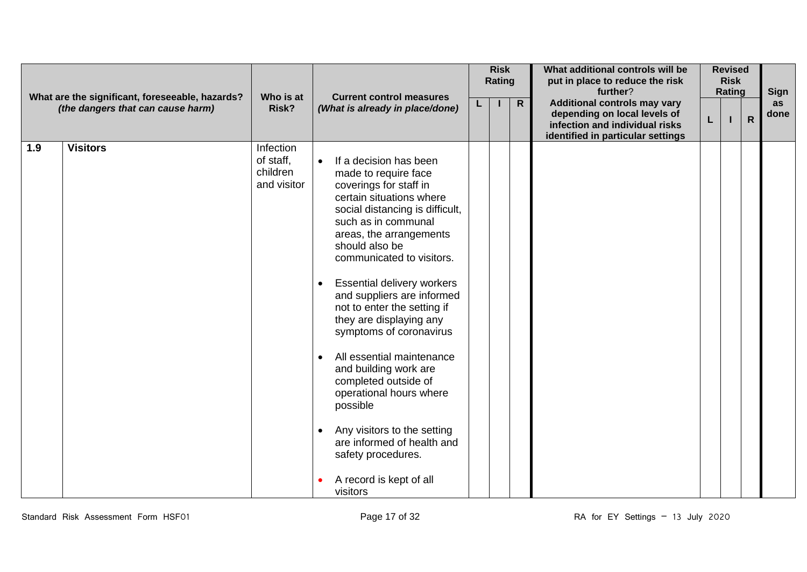|     | What are the significant, foreseeable, hazards? |                                                   | <b>Current control measures</b>                                                                                                                                                                                                                                                                                                                                                                                                                                                                                                                                                                                                                                    | <b>Risk</b><br>Rating |              | What additional controls will be<br>put in place to reduce the risk<br>further?                                                            | <b>Revised</b><br><b>Risk</b><br>Rating |  |              | <b>Sign</b>       |
|-----|-------------------------------------------------|---------------------------------------------------|--------------------------------------------------------------------------------------------------------------------------------------------------------------------------------------------------------------------------------------------------------------------------------------------------------------------------------------------------------------------------------------------------------------------------------------------------------------------------------------------------------------------------------------------------------------------------------------------------------------------------------------------------------------------|-----------------------|--------------|--------------------------------------------------------------------------------------------------------------------------------------------|-----------------------------------------|--|--------------|-------------------|
|     | (the dangers that can cause harm)               | Who is at<br>Risk?                                | (What is already in place/done)                                                                                                                                                                                                                                                                                                                                                                                                                                                                                                                                                                                                                                    |                       | $\mathsf{R}$ | <b>Additional controls may vary</b><br>depending on local levels of<br>infection and individual risks<br>identified in particular settings | L.                                      |  | $\mathsf{R}$ | <b>as</b><br>done |
| 1.9 | <b>Visitors</b>                                 | Infection<br>of staff,<br>children<br>and visitor | If a decision has been<br>made to require face<br>coverings for staff in<br>certain situations where<br>social distancing is difficult,<br>such as in communal<br>areas, the arrangements<br>should also be<br>communicated to visitors.<br>Essential delivery workers<br>and suppliers are informed<br>not to enter the setting if<br>they are displaying any<br>symptoms of coronavirus<br>All essential maintenance<br>$\bullet$<br>and building work are<br>completed outside of<br>operational hours where<br>possible<br>Any visitors to the setting<br>$\bullet$<br>are informed of health and<br>safety procedures.<br>A record is kept of all<br>visitors |                       |              |                                                                                                                                            |                                         |  |              |                   |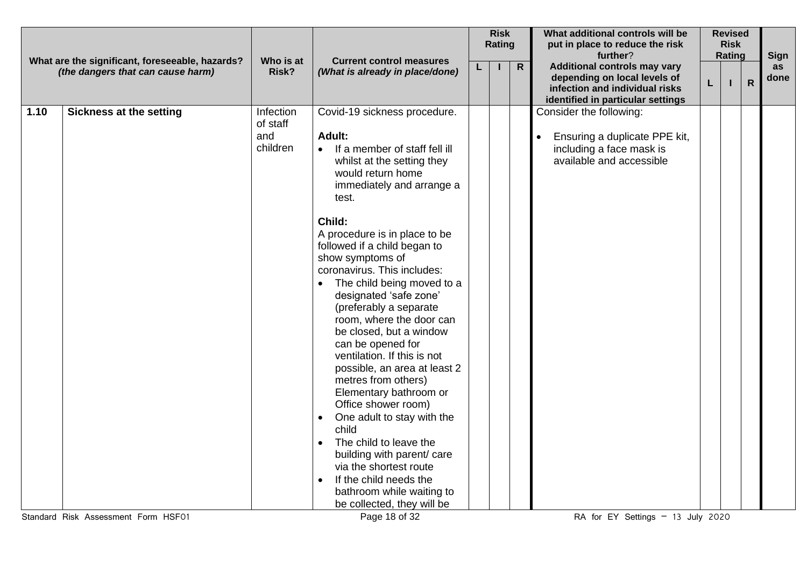| What are the significant, foreseeable, hazards?<br><b>Additional controls may vary</b><br>$\mathsf{R}$<br>as<br>L<br>(the dangers that can cause harm)<br>Risk?<br>(What is already in place/done)<br>depending on local levels of<br>done<br>$\mathsf{R}$<br>L<br>infection and individual risks<br>identified in particular settings<br>1.10<br><b>Sickness at the setting</b><br>Infection<br>Covid-19 sickness procedure.<br>Consider the following:<br>of staff<br>and<br>Adult:<br>Ensuring a duplicate PPE kit,<br>children<br>If a member of staff fell ill<br>including a face mask is<br>$\bullet$<br>available and accessible<br>whilst at the setting they<br>would return home<br>immediately and arrange a<br>test.<br>Child:<br>A procedure is in place to be<br>followed if a child began to<br>show symptoms of<br>coronavirus. This includes:<br>The child being moved to a<br>designated 'safe zone'<br>(preferably a separate<br>room, where the door can<br>be closed, but a window<br>can be opened for<br>ventilation. If this is not<br>possible, an area at least 2<br>metres from others)<br>Elementary bathroom or<br>Office shower room)<br>One adult to stay with the<br>$\bullet$<br>child<br>The child to leave the<br>$\bullet$<br>building with parent/ care<br>via the shortest route<br>If the child needs the<br>bathroom while waiting to<br>be collected, they will be |  |           |                                 | <b>Risk</b><br>Rating | What additional controls will be<br>put in place to reduce the risk<br>further? |  | <b>Revised</b><br><b>Risk</b><br>Rating | <b>Sign</b> |
|--------------------------------------------------------------------------------------------------------------------------------------------------------------------------------------------------------------------------------------------------------------------------------------------------------------------------------------------------------------------------------------------------------------------------------------------------------------------------------------------------------------------------------------------------------------------------------------------------------------------------------------------------------------------------------------------------------------------------------------------------------------------------------------------------------------------------------------------------------------------------------------------------------------------------------------------------------------------------------------------------------------------------------------------------------------------------------------------------------------------------------------------------------------------------------------------------------------------------------------------------------------------------------------------------------------------------------------------------------------------------------------------------------------|--|-----------|---------------------------------|-----------------------|---------------------------------------------------------------------------------|--|-----------------------------------------|-------------|
|                                                                                                                                                                                                                                                                                                                                                                                                                                                                                                                                                                                                                                                                                                                                                                                                                                                                                                                                                                                                                                                                                                                                                                                                                                                                                                                                                                                                              |  | Who is at | <b>Current control measures</b> |                       |                                                                                 |  |                                         |             |
| Standard Risk Assessment Form HSF01<br>RA for EY Settings $-13$ July 2020                                                                                                                                                                                                                                                                                                                                                                                                                                                                                                                                                                                                                                                                                                                                                                                                                                                                                                                                                                                                                                                                                                                                                                                                                                                                                                                                    |  |           | Page 18 of 32                   |                       |                                                                                 |  |                                         |             |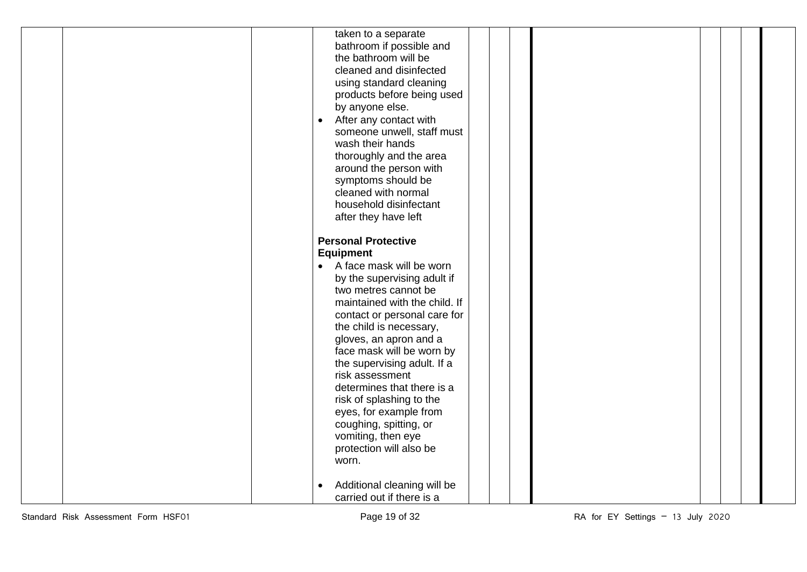|  | taken to a separate<br>bathroom if possible and |  |  |
|--|-------------------------------------------------|--|--|
|  | the bathroom will be                            |  |  |
|  | cleaned and disinfected                         |  |  |
|  |                                                 |  |  |
|  | using standard cleaning                         |  |  |
|  | products before being used                      |  |  |
|  | by anyone else.                                 |  |  |
|  | After any contact with<br>$\bullet$             |  |  |
|  | someone unwell, staff must                      |  |  |
|  | wash their hands                                |  |  |
|  | thoroughly and the area                         |  |  |
|  | around the person with                          |  |  |
|  | symptoms should be                              |  |  |
|  | cleaned with normal                             |  |  |
|  | household disinfectant                          |  |  |
|  | after they have left                            |  |  |
|  | <b>Personal Protective</b>                      |  |  |
|  | <b>Equipment</b>                                |  |  |
|  | • A face mask will be worn                      |  |  |
|  | by the supervising adult if                     |  |  |
|  | two metres cannot be                            |  |  |
|  | maintained with the child. If                   |  |  |
|  | contact or personal care for                    |  |  |
|  | the child is necessary,                         |  |  |
|  | gloves, an apron and a                          |  |  |
|  | face mask will be worn by                       |  |  |
|  | the supervising adult. If a                     |  |  |
|  | risk assessment                                 |  |  |
|  | determines that there is a                      |  |  |
|  | risk of splashing to the                        |  |  |
|  | eyes, for example from                          |  |  |
|  | coughing, spitting, or                          |  |  |
|  | vomiting, then eye                              |  |  |
|  | protection will also be                         |  |  |
|  | worn.                                           |  |  |
|  |                                                 |  |  |
|  | Additional cleaning will be<br>$\bullet$        |  |  |
|  | carried out if there is a                       |  |  |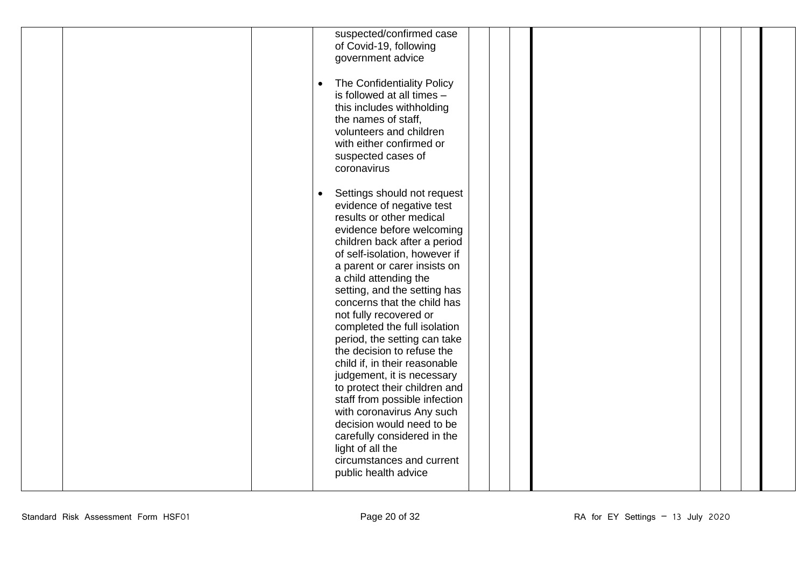| suspected/confirmed case<br>of Covid-19, following<br>government advice<br>The Confidentiality Policy<br>$\bullet$<br>is followed at all times -<br>this includes withholding<br>the names of staff,<br>volunteers and children<br>with either confirmed or<br>suspected cases of                                                                                                                                                                                                                                                                                                                                                                                                                                                                    |  |
|------------------------------------------------------------------------------------------------------------------------------------------------------------------------------------------------------------------------------------------------------------------------------------------------------------------------------------------------------------------------------------------------------------------------------------------------------------------------------------------------------------------------------------------------------------------------------------------------------------------------------------------------------------------------------------------------------------------------------------------------------|--|
| coronavirus<br>Settings should not request<br>evidence of negative test<br>results or other medical<br>evidence before welcoming<br>children back after a period<br>of self-isolation, however if<br>a parent or carer insists on<br>a child attending the<br>setting, and the setting has<br>concerns that the child has<br>not fully recovered or<br>completed the full isolation<br>period, the setting can take<br>the decision to refuse the<br>child if, in their reasonable<br>judgement, it is necessary<br>to protect their children and<br>staff from possible infection<br>with coronavirus Any such<br>decision would need to be<br>carefully considered in the<br>light of all the<br>circumstances and current<br>public health advice |  |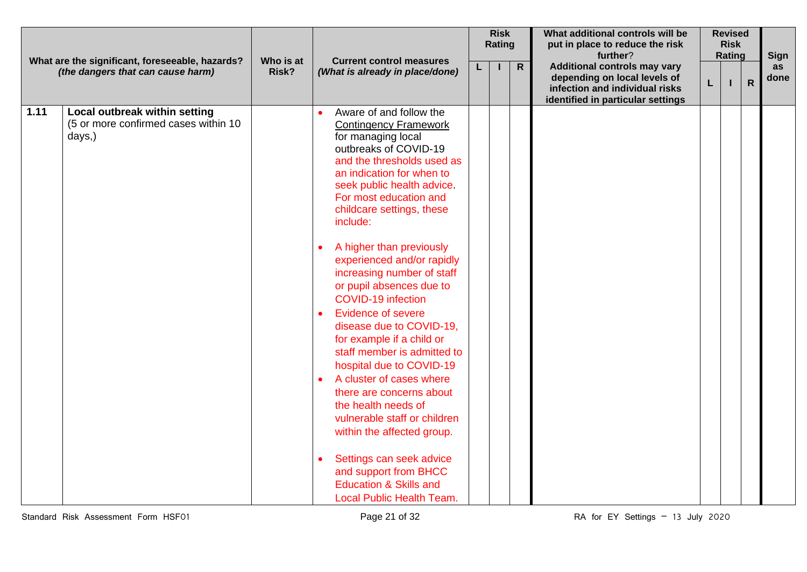|      | What are the significant, foreseeable, hazards?                                 |                    | <b>Current control measures</b>                                                                                                                                                                                                                                                                                                                                                                                                                                                                                                                                                                                                                                                                                                                                                                                                          |    | <b>Risk</b><br>Rating |                | What additional controls will be<br>put in place to reduce the risk<br>further?                                                            |   | <b>Revised</b><br><b>Risk</b><br>Rating |              | Sign       |
|------|---------------------------------------------------------------------------------|--------------------|------------------------------------------------------------------------------------------------------------------------------------------------------------------------------------------------------------------------------------------------------------------------------------------------------------------------------------------------------------------------------------------------------------------------------------------------------------------------------------------------------------------------------------------------------------------------------------------------------------------------------------------------------------------------------------------------------------------------------------------------------------------------------------------------------------------------------------------|----|-----------------------|----------------|--------------------------------------------------------------------------------------------------------------------------------------------|---|-----------------------------------------|--------------|------------|
|      | (the dangers that can cause harm)                                               | Who is at<br>Risk? | (What is already in place/done)                                                                                                                                                                                                                                                                                                                                                                                                                                                                                                                                                                                                                                                                                                                                                                                                          | L. |                       | $\overline{R}$ | <b>Additional controls may vary</b><br>depending on local levels of<br>infection and individual risks<br>identified in particular settings | L |                                         | $\mathsf{R}$ | as<br>done |
| 1.11 | Local outbreak within setting<br>(5 or more confirmed cases within 10<br>days,) |                    | Aware of and follow the<br><b>Contingency Framework</b><br>for managing local<br>outbreaks of COVID-19<br>and the thresholds used as<br>an indication for when to<br>seek public health advice.<br>For most education and<br>childcare settings, these<br>include:<br>A higher than previously<br>experienced and/or rapidly<br>increasing number of staff<br>or pupil absences due to<br><b>COVID-19 infection</b><br><b>Evidence of severe</b><br>disease due to COVID-19,<br>for example if a child or<br>staff member is admitted to<br>hospital due to COVID-19<br>A cluster of cases where<br>there are concerns about<br>the health needs of<br>vulnerable staff or children<br>within the affected group.<br>Settings can seek advice<br>and support from BHCC<br><b>Education &amp; Skills and</b><br>Local Public Health Team. |    |                       |                |                                                                                                                                            |   |                                         |              |            |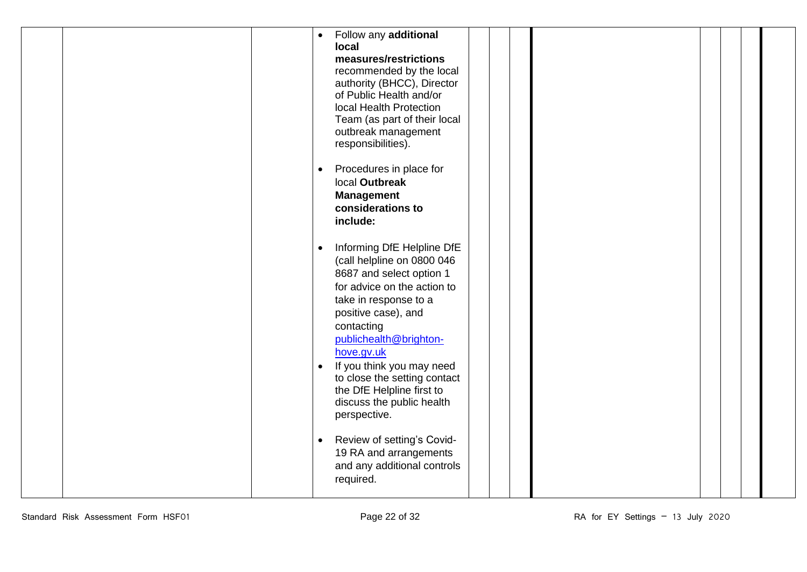| Follow any additional<br>$\bullet$<br>local<br>measures/restrictions<br>recommended by the local<br>authority (BHCC), Director<br>of Public Health and/or<br>local Health Protection<br>Team (as part of their local<br>outbreak management<br>responsibilities). |  |
|-------------------------------------------------------------------------------------------------------------------------------------------------------------------------------------------------------------------------------------------------------------------|--|
| Procedures in place for<br>$\bullet$<br>local Outbreak<br><b>Management</b><br>considerations to<br>include:                                                                                                                                                      |  |
| Informing DfE Helpline DfE<br>$\bullet$<br>(call helpline on 0800 046<br>8687 and select option 1<br>for advice on the action to<br>take in response to a<br>positive case), and<br>contacting<br>publichealth@brighton-<br>hove.gv.uk                            |  |
| If you think you may need<br>$\bullet$<br>to close the setting contact<br>the DfE Helpline first to<br>discuss the public health<br>perspective.                                                                                                                  |  |
| Review of setting's Covid-<br>$\bullet$<br>19 RA and arrangements<br>and any additional controls<br>required.                                                                                                                                                     |  |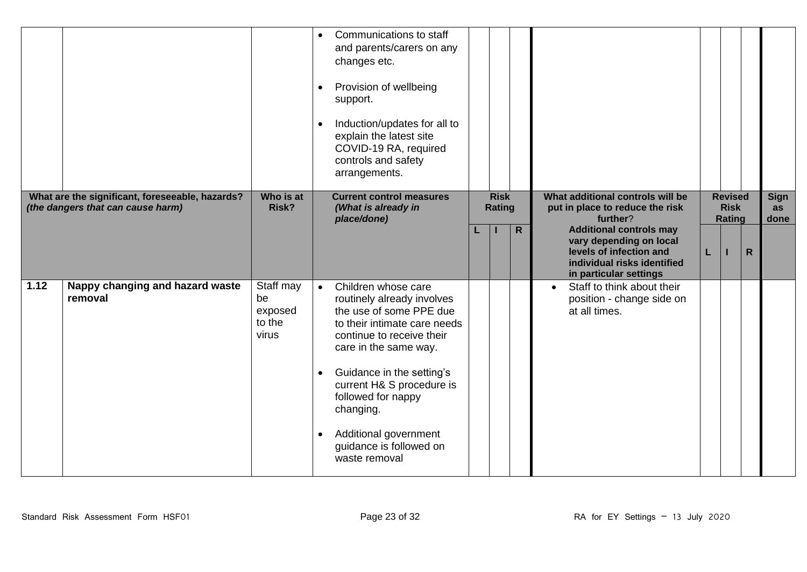|      |                                                                                      |                                               | Communications to staff<br>and parents/carers on any<br>changes etc.<br>Provision of wellbeing<br>support.<br>Induction/updates for all to<br>explain the latest site<br>COVID-19 RA, required<br>controls and safety<br>arrangements.                                                                                               |                       |                                                                                                                                                                    |                   |
|------|--------------------------------------------------------------------------------------|-----------------------------------------------|--------------------------------------------------------------------------------------------------------------------------------------------------------------------------------------------------------------------------------------------------------------------------------------------------------------------------------------|-----------------------|--------------------------------------------------------------------------------------------------------------------------------------------------------------------|-------------------|
|      | What are the significant, foreseeable, hazards?<br>(the dangers that can cause harm) | Who is at<br>Risk?                            | <b>Current control measures</b><br>(What is already in                                                                                                                                                                                                                                                                               | <b>Risk</b><br>Rating | What additional controls will be<br><b>Revised</b><br><b>Risk</b><br>put in place to reduce the risk                                                               | <b>Sign</b><br>as |
|      |                                                                                      |                                               | place/done)                                                                                                                                                                                                                                                                                                                          |                       | further?<br><b>Rating</b>                                                                                                                                          | done              |
|      |                                                                                      |                                               |                                                                                                                                                                                                                                                                                                                                      | $\mathsf{R}$          | <b>Additional controls may</b><br>vary depending on local<br>levels of infection and<br>$\mathsf{R}$<br>L<br>individual risks identified<br>in particular settings |                   |
| 1.12 | Nappy changing and hazard waste<br>removal                                           | Staff may<br>be<br>exposed<br>to the<br>virus | Children whose care<br>routinely already involves<br>the use of some PPE due<br>to their intimate care needs<br>continue to receive their<br>care in the same way.<br>Guidance in the setting's<br>current H& S procedure is<br>followed for nappy<br>changing.<br>Additional government<br>guidance is followed on<br>waste removal |                       | Staff to think about their<br>$\bullet$<br>position - change side on<br>at all times.                                                                              |                   |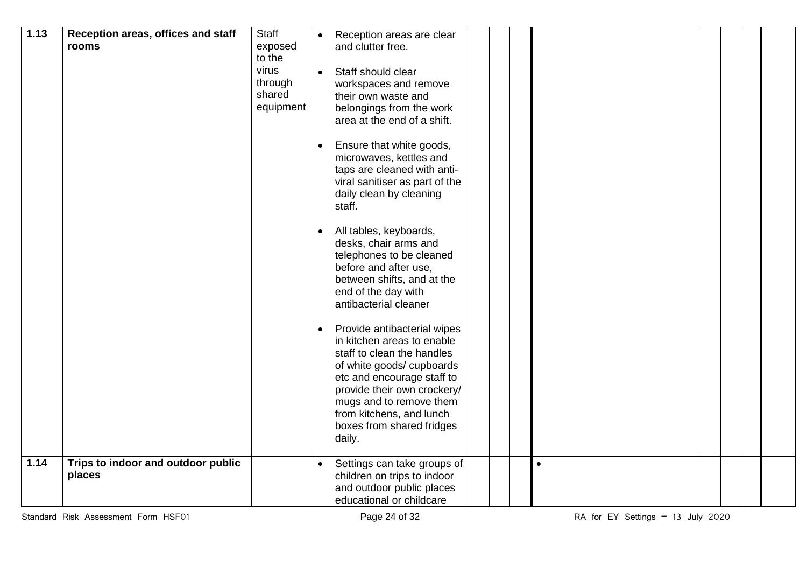| 1.13 | Reception areas, offices and staff<br>rooms  | Staff<br>exposed<br>to the<br>virus<br>through<br>shared<br>equipment | $\bullet$<br>$\bullet$<br>$\bullet$<br>$\bullet$ | Reception areas are clear<br>and clutter free.<br>Staff should clear<br>workspaces and remove<br>their own waste and<br>belongings from the work<br>area at the end of a shift.<br>Ensure that white goods,<br>microwaves, kettles and<br>taps are cleaned with anti-<br>viral sanitiser as part of the<br>daily clean by cleaning<br>staff.<br>All tables, keyboards,<br>desks, chair arms and<br>telephones to be cleaned<br>before and after use,<br>between shifts, and at the<br>end of the day with<br>antibacterial cleaner<br>Provide antibacterial wipes<br>in kitchen areas to enable<br>staff to clean the handles<br>of white goods/cupboards |  |           |  |
|------|----------------------------------------------|-----------------------------------------------------------------------|--------------------------------------------------|-----------------------------------------------------------------------------------------------------------------------------------------------------------------------------------------------------------------------------------------------------------------------------------------------------------------------------------------------------------------------------------------------------------------------------------------------------------------------------------------------------------------------------------------------------------------------------------------------------------------------------------------------------------|--|-----------|--|
|      |                                              |                                                                       |                                                  | etc and encourage staff to<br>provide their own crockery/<br>mugs and to remove them<br>from kitchens, and lunch<br>boxes from shared fridges<br>daily.                                                                                                                                                                                                                                                                                                                                                                                                                                                                                                   |  |           |  |
| 1.14 | Trips to indoor and outdoor public<br>places |                                                                       |                                                  | Settings can take groups of<br>children on trips to indoor<br>and outdoor public places<br>educational or childcare                                                                                                                                                                                                                                                                                                                                                                                                                                                                                                                                       |  | $\bullet$ |  |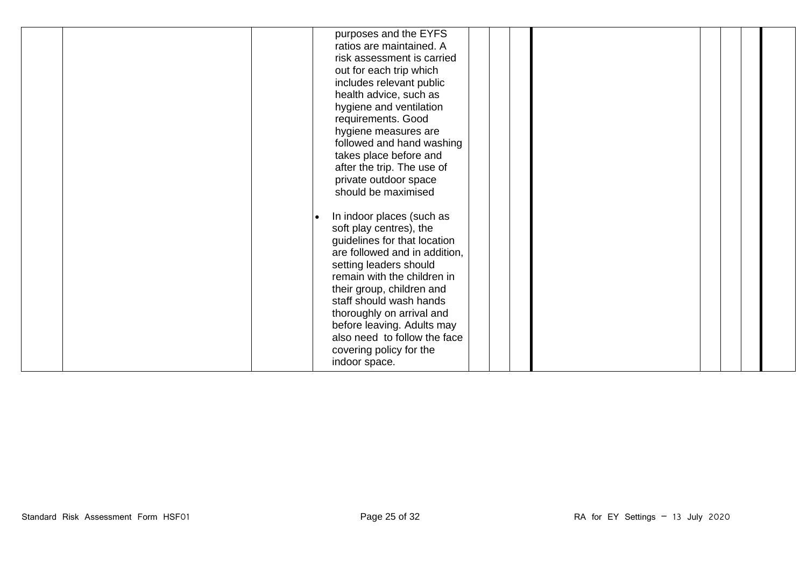|  | purposes and the EYFS<br>ratios are maintained. A<br>risk assessment is carried<br>out for each trip which<br>includes relevant public<br>health advice, such as<br>hygiene and ventilation<br>requirements. Good<br>hygiene measures are<br>followed and hand washing<br>takes place before and<br>after the trip. The use of<br>private outdoor space<br>should be maximised             |  |
|--|--------------------------------------------------------------------------------------------------------------------------------------------------------------------------------------------------------------------------------------------------------------------------------------------------------------------------------------------------------------------------------------------|--|
|  | In indoor places (such as<br>$\bullet$<br>soft play centres), the<br>guidelines for that location<br>are followed and in addition,<br>setting leaders should<br>remain with the children in<br>their group, children and<br>staff should wash hands<br>thoroughly on arrival and<br>before leaving. Adults may<br>also need to follow the face<br>covering policy for the<br>indoor space. |  |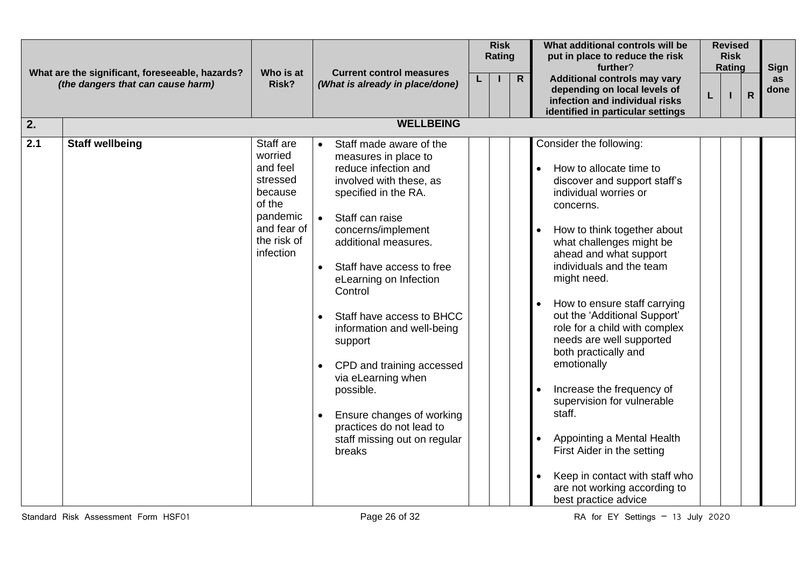|     | What are the significant, foreseeable, hazards? | Who is at                                                                                                                       | <b>Current control measures</b>                                                                                                                                                                                                                                                                                                                                                                                                                                                                                     | <b>Risk</b><br>Rating |              | What additional controls will be<br>put in place to reduce the risk<br>further?                                                                                                                                                                                                                                                                                                                                                                                                                                                                                                                                                                         | <b>Revised</b><br><b>Risk</b><br>Rating |                         | Sign       |
|-----|-------------------------------------------------|---------------------------------------------------------------------------------------------------------------------------------|---------------------------------------------------------------------------------------------------------------------------------------------------------------------------------------------------------------------------------------------------------------------------------------------------------------------------------------------------------------------------------------------------------------------------------------------------------------------------------------------------------------------|-----------------------|--------------|---------------------------------------------------------------------------------------------------------------------------------------------------------------------------------------------------------------------------------------------------------------------------------------------------------------------------------------------------------------------------------------------------------------------------------------------------------------------------------------------------------------------------------------------------------------------------------------------------------------------------------------------------------|-----------------------------------------|-------------------------|------------|
|     | (the dangers that can cause harm)               | Risk?                                                                                                                           | (What is already in place/done)                                                                                                                                                                                                                                                                                                                                                                                                                                                                                     |                       | $\mathsf{R}$ | <b>Additional controls may vary</b><br>depending on local levels of<br>infection and individual risks<br>identified in particular settings                                                                                                                                                                                                                                                                                                                                                                                                                                                                                                              |                                         | $\overline{\mathsf{R}}$ | as<br>done |
| 2.  |                                                 |                                                                                                                                 | <b>WELLBEING</b>                                                                                                                                                                                                                                                                                                                                                                                                                                                                                                    |                       |              |                                                                                                                                                                                                                                                                                                                                                                                                                                                                                                                                                                                                                                                         |                                         |                         |            |
| 2.1 | <b>Staff wellbeing</b>                          | Staff are<br>worried<br>and feel<br>stressed<br>because<br>of the<br>pandemic<br>and fear of<br>the risk of<br><i>infection</i> | Staff made aware of the<br>measures in place to<br>reduce infection and<br>involved with these, as<br>specified in the RA.<br>Staff can raise<br>concerns/implement<br>additional measures.<br>Staff have access to free<br>$\bullet$<br>eLearning on Infection<br>Control<br>Staff have access to BHCC<br>information and well-being<br>support<br>CPD and training accessed<br>via eLearning when<br>possible.<br>Ensure changes of working<br>practices do not lead to<br>staff missing out on regular<br>breaks |                       |              | Consider the following:<br>How to allocate time to<br>discover and support staff's<br>individual worries or<br>concerns.<br>How to think together about<br>what challenges might be<br>ahead and what support<br>individuals and the team<br>might need.<br>How to ensure staff carrying<br>out the 'Additional Support'<br>role for a child with complex<br>needs are well supported<br>both practically and<br>emotionally<br>Increase the frequency of<br>supervision for vulnerable<br>staff.<br>Appointing a Mental Health<br>First Aider in the setting<br>Keep in contact with staff who<br>are not working according to<br>best practice advice |                                         |                         |            |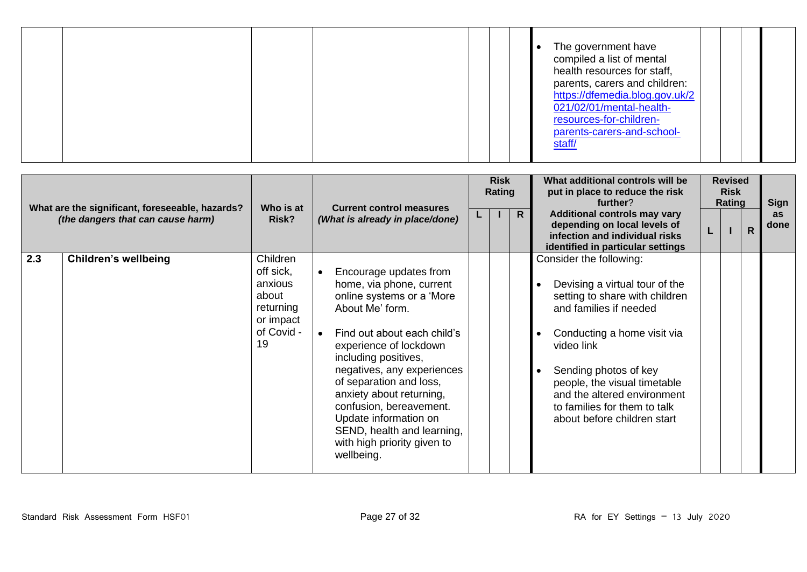|  |  |  |  |  | The government have<br>compiled a list of mental<br>health resources for staff,<br>parents, carers and children:<br>https://dfemedia.blog.gov.uk/2<br>021/02/01/mental-health-<br>resources-for-children-<br>parents-carers-and-school-<br>staff/ |
|--|--|--|--|--|---------------------------------------------------------------------------------------------------------------------------------------------------------------------------------------------------------------------------------------------------|
|--|--|--|--|--|---------------------------------------------------------------------------------------------------------------------------------------------------------------------------------------------------------------------------------------------------|

|     | What are the significant, foreseeable, hazards? |                                                                                         | <b>Current control measures</b><br>Who is at                                                                                                                                                                                                                                                                                                                                                            |    |  | <b>Risk</b><br>Rating |                                                                                                                                                                                                                                                                                                                           |  | What additional controls will be<br>put in place to reduce the risk<br>further? | <b>Revised</b><br><b>Risk</b><br>Rating | Sign |
|-----|-------------------------------------------------|-----------------------------------------------------------------------------------------|---------------------------------------------------------------------------------------------------------------------------------------------------------------------------------------------------------------------------------------------------------------------------------------------------------------------------------------------------------------------------------------------------------|----|--|-----------------------|---------------------------------------------------------------------------------------------------------------------------------------------------------------------------------------------------------------------------------------------------------------------------------------------------------------------------|--|---------------------------------------------------------------------------------|-----------------------------------------|------|
|     | (the dangers that can cause harm)               | Risk?                                                                                   | (What is already in place/done)                                                                                                                                                                                                                                                                                                                                                                         | ч. |  | $\mathsf{R}$          | <b>Additional controls may vary</b><br>depending on local levels of<br>infection and individual risks<br>identified in particular settings                                                                                                                                                                                |  | $\mathsf{R}$                                                                    | as<br>done                              |      |
| 2.3 | <b>Children's wellbeing</b>                     | Children<br>off sick,<br>anxious<br>about<br>returning<br>or impact<br>of Covid -<br>19 | Encourage updates from<br>home, via phone, current<br>online systems or a 'More<br>About Me' form.<br>Find out about each child's<br>experience of lockdown<br>including positives,<br>negatives, any experiences<br>of separation and loss,<br>anxiety about returning,<br>confusion, bereavement.<br>Update information on<br>SEND, health and learning,<br>with high priority given to<br>wellbeing. |    |  |                       | Consider the following:<br>Devising a virtual tour of the<br>setting to share with children<br>and families if needed<br>Conducting a home visit via<br>video link<br>Sending photos of key<br>people, the visual timetable<br>and the altered environment<br>to families for them to talk<br>about before children start |  |                                                                                 |                                         |      |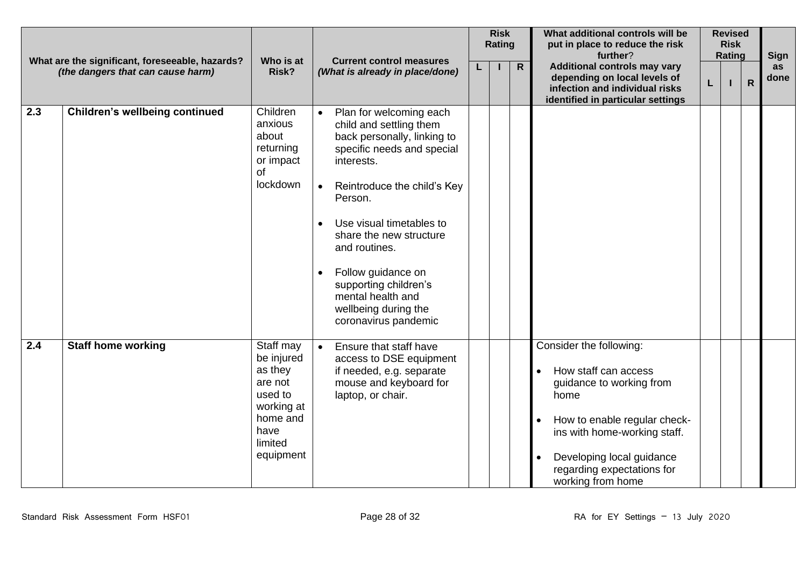| What are the significant, foreseeable, hazards?<br>(the dangers that can cause harm) |                                       | Who is at<br><b>Current control measures</b>                                                                       |                                                                                                                                                                                                                                                                                                                                                                     |  |  | <b>Risk</b><br>Rating | What additional controls will be<br>put in place to reduce the risk<br>further?                                                                                                                                                     |   | <b>Revised</b><br><b>Risk</b><br><b>Rating</b> | <b>Sign</b>    |            |
|--------------------------------------------------------------------------------------|---------------------------------------|--------------------------------------------------------------------------------------------------------------------|---------------------------------------------------------------------------------------------------------------------------------------------------------------------------------------------------------------------------------------------------------------------------------------------------------------------------------------------------------------------|--|--|-----------------------|-------------------------------------------------------------------------------------------------------------------------------------------------------------------------------------------------------------------------------------|---|------------------------------------------------|----------------|------------|
|                                                                                      |                                       | Risk?                                                                                                              | (What is already in place/done)                                                                                                                                                                                                                                                                                                                                     |  |  | $\overline{R}$        | <b>Additional controls may vary</b><br>depending on local levels of<br>infection and individual risks<br>identified in particular settings                                                                                          | L |                                                | $\overline{R}$ | as<br>done |
| 2.3                                                                                  | <b>Children's wellbeing continued</b> | Children<br>anxious<br>about<br>returning<br>or impact<br>of<br>lockdown                                           | Plan for welcoming each<br>child and settling them<br>back personally, linking to<br>specific needs and special<br>interests.<br>Reintroduce the child's Key<br>Person.<br>Use visual timetables to<br>share the new structure<br>and routines.<br>Follow guidance on<br>supporting children's<br>mental health and<br>wellbeing during the<br>coronavirus pandemic |  |  |                       |                                                                                                                                                                                                                                     |   |                                                |                |            |
| $\overline{2.4}$                                                                     | <b>Staff home working</b>             | Staff may<br>be injured<br>as they<br>are not<br>used to<br>working at<br>home and<br>have<br>limited<br>equipment | Ensure that staff have<br>access to DSE equipment<br>if needed, e.g. separate<br>mouse and keyboard for<br>laptop, or chair.                                                                                                                                                                                                                                        |  |  |                       | Consider the following:<br>How staff can access<br>guidance to working from<br>home<br>How to enable regular check-<br>ins with home-working staff.<br>Developing local guidance<br>regarding expectations for<br>working from home |   |                                                |                |            |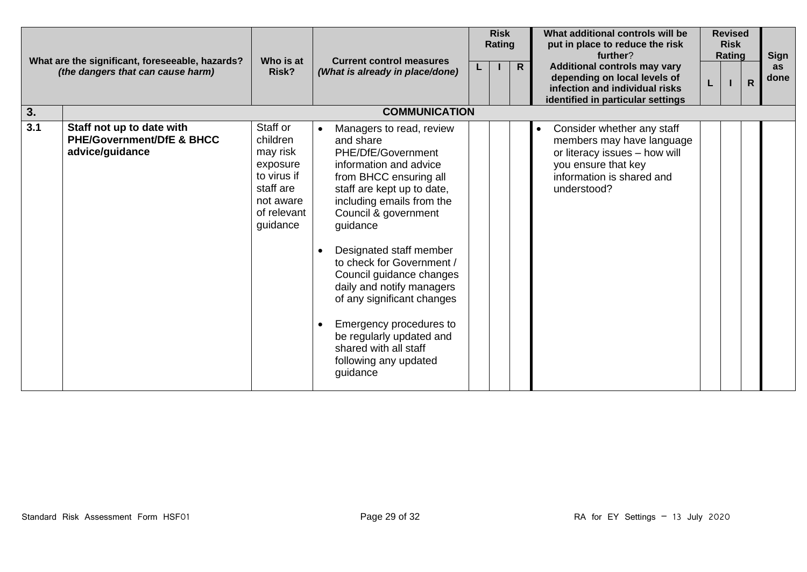| What are the significant, foreseeable, hazards? |                                                                                      | Who is at                                                                                                        | <b>Current control measures</b>                                                                                                                                                                                                                                                                                                                                                                                                                                                    |  | <b>Risk</b><br>Rating |                | What additional controls will be<br>put in place to reduce the risk<br>further?                                                                                          |   | <b>Revised</b><br><b>Risk</b><br>Rating |              | <b>Sign</b>       |
|-------------------------------------------------|--------------------------------------------------------------------------------------|------------------------------------------------------------------------------------------------------------------|------------------------------------------------------------------------------------------------------------------------------------------------------------------------------------------------------------------------------------------------------------------------------------------------------------------------------------------------------------------------------------------------------------------------------------------------------------------------------------|--|-----------------------|----------------|--------------------------------------------------------------------------------------------------------------------------------------------------------------------------|---|-----------------------------------------|--------------|-------------------|
|                                                 | (the dangers that can cause harm)                                                    |                                                                                                                  | Risk?<br>(What is already in place/done)                                                                                                                                                                                                                                                                                                                                                                                                                                           |  |                       | $\overline{R}$ | <b>Additional controls may vary</b><br>depending on local levels of<br>infection and individual risks<br>identified in particular settings                               | L |                                         | $\mathsf{R}$ | <b>as</b><br>done |
| 3.                                              |                                                                                      |                                                                                                                  | <b>COMMUNICATION</b>                                                                                                                                                                                                                                                                                                                                                                                                                                                               |  |                       |                |                                                                                                                                                                          |   |                                         |              |                   |
| 3.1                                             | Staff not up to date with<br><b>PHE/Government/DfE &amp; BHCC</b><br>advice/guidance | Staff or<br>children<br>may risk<br>exposure<br>to virus if<br>staff are<br>not aware<br>of relevant<br>guidance | Managers to read, review<br>and share<br>PHE/DfE/Government<br>information and advice<br>from BHCC ensuring all<br>staff are kept up to date,<br>including emails from the<br>Council & government<br>guidance<br>Designated staff member<br>to check for Government /<br>Council guidance changes<br>daily and notify managers<br>of any significant changes<br>Emergency procedures to<br>be regularly updated and<br>shared with all staff<br>following any updated<br>guidance |  |                       |                | Consider whether any staff<br>$\bullet$<br>members may have language<br>or literacy issues - how will<br>you ensure that key<br>information is shared and<br>understood? |   |                                         |              |                   |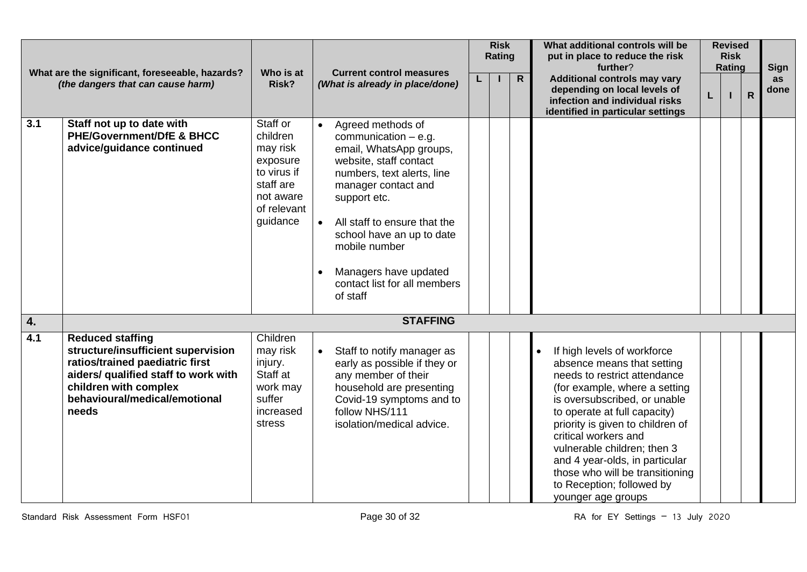| What are the significant, foreseeable, hazards?<br>(the dangers that can cause harm) |                                                                                                                                                                                                             | Who is at                                                                                                        | <b>Current control measures</b> |                                                                                                                                                                                                                                                                                                                          |  |  |              | <b>Risk</b><br>Rating                                                                                                                                                                                                                                                                                                                                                                                         |   | What additional controls will be<br>put in place to reduce the risk<br>further? |              | <b>Revised</b><br><b>Risk</b><br>Rating |  | <b>Sign</b> |
|--------------------------------------------------------------------------------------|-------------------------------------------------------------------------------------------------------------------------------------------------------------------------------------------------------------|------------------------------------------------------------------------------------------------------------------|---------------------------------|--------------------------------------------------------------------------------------------------------------------------------------------------------------------------------------------------------------------------------------------------------------------------------------------------------------------------|--|--|--------------|---------------------------------------------------------------------------------------------------------------------------------------------------------------------------------------------------------------------------------------------------------------------------------------------------------------------------------------------------------------------------------------------------------------|---|---------------------------------------------------------------------------------|--------------|-----------------------------------------|--|-------------|
|                                                                                      |                                                                                                                                                                                                             | Risk?                                                                                                            |                                 | (What is already in place/done)                                                                                                                                                                                                                                                                                          |  |  | $\mathsf{R}$ | <b>Additional controls may vary</b><br>depending on local levels of<br>infection and individual risks<br>identified in particular settings                                                                                                                                                                                                                                                                    | L |                                                                                 | $\mathsf{R}$ | as<br>done                              |  |             |
| 3.1                                                                                  | Staff not up to date with<br><b>PHE/Government/DfE &amp; BHCC</b><br>advice/guidance continued                                                                                                              | Staff or<br>children<br>may risk<br>exposure<br>to virus if<br>staff are<br>not aware<br>of relevant<br>guidance |                                 | Agreed methods of<br>communication $-$ e.g.<br>email, WhatsApp groups,<br>website, staff contact<br>numbers, text alerts, line<br>manager contact and<br>support etc.<br>All staff to ensure that the<br>school have an up to date<br>mobile number<br>Managers have updated<br>contact list for all members<br>of staff |  |  |              |                                                                                                                                                                                                                                                                                                                                                                                                               |   |                                                                                 |              |                                         |  |             |
| 4.                                                                                   |                                                                                                                                                                                                             |                                                                                                                  |                                 | <b>STAFFING</b>                                                                                                                                                                                                                                                                                                          |  |  |              |                                                                                                                                                                                                                                                                                                                                                                                                               |   |                                                                                 |              |                                         |  |             |
| 4.1                                                                                  | <b>Reduced staffing</b><br>structure/insufficient supervision<br>ratios/trained paediatric first<br>aiders/ qualified staff to work with<br>children with complex<br>behavioural/medical/emotional<br>needs | Children<br>may risk<br>injury.<br>Staff at<br>work may<br>suffer<br>increased<br>stress                         |                                 | Staff to notify manager as<br>early as possible if they or<br>any member of their<br>household are presenting<br>Covid-19 symptoms and to<br>follow NHS/111<br>isolation/medical advice.                                                                                                                                 |  |  |              | If high levels of workforce<br>absence means that setting<br>needs to restrict attendance<br>(for example, where a setting<br>is oversubscribed, or unable<br>to operate at full capacity)<br>priority is given to children of<br>critical workers and<br>vulnerable children; then 3<br>and 4 year-olds, in particular<br>those who will be transitioning<br>to Reception; followed by<br>younger age groups |   |                                                                                 |              |                                         |  |             |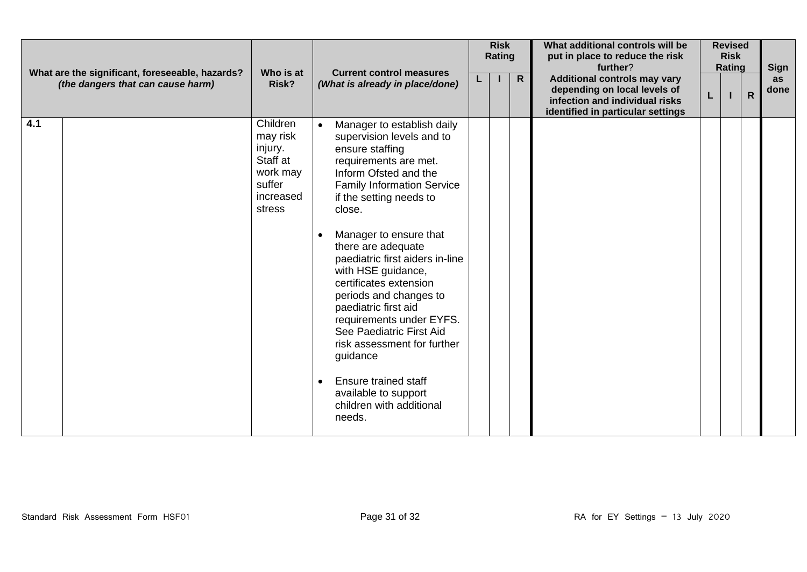|                                                                                      |                                                                                          |                                                                                                                                                                                                                                                                                                                                                                                                                                                                                                                                                                                      | <b>Risk</b><br>Rating |  |              | What additional controls will be<br>put in place to reduce the risk<br>further?                                                            |    | <b>Revised</b><br><b>Risk</b><br>Rating |              | Sign       |  |
|--------------------------------------------------------------------------------------|------------------------------------------------------------------------------------------|--------------------------------------------------------------------------------------------------------------------------------------------------------------------------------------------------------------------------------------------------------------------------------------------------------------------------------------------------------------------------------------------------------------------------------------------------------------------------------------------------------------------------------------------------------------------------------------|-----------------------|--|--------------|--------------------------------------------------------------------------------------------------------------------------------------------|----|-----------------------------------------|--------------|------------|--|
| What are the significant, foreseeable, hazards?<br>(the dangers that can cause harm) | Who is at<br>Risk?                                                                       | <b>Current control measures</b><br>(What is already in place/done)                                                                                                                                                                                                                                                                                                                                                                                                                                                                                                                   |                       |  | $\mathsf{R}$ | <b>Additional controls may vary</b><br>depending on local levels of<br>infection and individual risks<br>identified in particular settings | L. |                                         | $\mathsf{R}$ | as<br>done |  |
| 4.1                                                                                  | Children<br>may risk<br>injury.<br>Staff at<br>work may<br>suffer<br>increased<br>stress | Manager to establish daily<br>supervision levels and to<br>ensure staffing<br>requirements are met.<br>Inform Ofsted and the<br><b>Family Information Service</b><br>if the setting needs to<br>close.<br>Manager to ensure that<br>there are adequate<br>paediatric first aiders in-line<br>with HSE guidance,<br>certificates extension<br>periods and changes to<br>paediatric first aid<br>requirements under EYFS.<br>See Paediatric First Aid<br>risk assessment for further<br>guidance<br>Ensure trained staff<br>available to support<br>children with additional<br>needs. |                       |  |              |                                                                                                                                            |    |                                         |              |            |  |